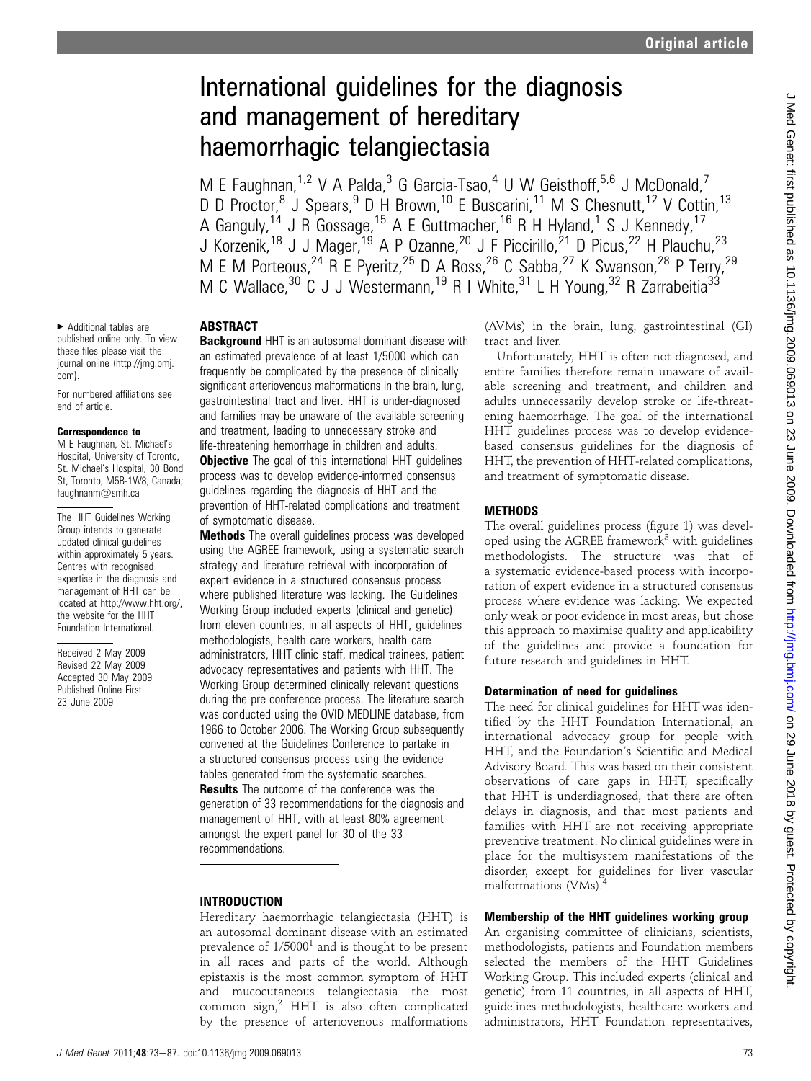# International guidelines for the diagnosis and management of hereditary haemorrhagic telangiectasia

M E Faughnan,<sup>1,2</sup> V A Palda,<sup>3</sup> G Garcia-Tsao,<sup>4</sup> U W Geisthoff,<sup>5,6</sup> J McDonald,<sup>7</sup> D D Proctor,<sup>8</sup> J Spears,<sup>9</sup> D H Brown,<sup>10</sup> E Buscarini,<sup>11</sup> M S Chesnutt,<sup>12</sup> V Cottin,<sup>13</sup> A Ganguly,<sup>14</sup> J R Gossage,<sup>15</sup> A E Guttmacher,<sup>16</sup> R H Hyland,<sup>1</sup> S J Kennedy,<sup>17</sup> J Korzenik,<sup>18</sup> J J Mager,<sup>19</sup> A P Ozanne,<sup>20</sup> J F Piccirillo,<sup>21</sup> D Picus,<sup>22</sup> H Plauchu,<sup>23</sup> M E M Porteous,<sup>24</sup> R E Pyeritz,<sup>25</sup> D A Ross,<sup>26</sup> C Sabba,<sup>27</sup> K Swanson,<sup>28</sup> P Terry,<sup>29</sup> M C Wallace,<sup>30</sup> C J J Westermann,<sup>19</sup> R I White,<sup>31</sup> L H Young,<sup>32</sup> R Zarrabeitia<sup>33</sup>

▶ Additional tables are published online only. To view these files please visit the journal online (http://jmg.bmj. com).

For numbered affiliations see end of article.

### Correspondence to

M E Faughnan, St. Michael's Hospital, University of Toronto, St. Michael's Hospital, 30 Bond St, Toronto, M5B-1W8, Canada; faughnanm@smh.ca

The HHT Guidelines Working Group intends to generate updated clinical guidelines within approximately 5 years. Centres with recognised expertise in the diagnosis and management of HHT can be located at http://www.hht.org/, the website for the HHT Foundation International.

Received 2 May 2009 Revised 22 May 2009 Accepted 30 May 2009 Published Online First 23 June 2009

# ABSTRACT

**Background** HHT is an autosomal dominant disease with an estimated prevalence of at least 1/5000 which can frequently be complicated by the presence of clinically significant arteriovenous malformations in the brain, lung, gastrointestinal tract and liver. HHT is under-diagnosed and families may be unaware of the available screening and treatment, leading to unnecessary stroke and life-threatening hemorrhage in children and adults.

**Objective** The goal of this international HHT guidelines process was to develop evidence-informed consensus guidelines regarding the diagnosis of HHT and the prevention of HHT-related complications and treatment of symptomatic disease.

**Methods** The overall guidelines process was developed using the AGREE framework, using a systematic search strategy and literature retrieval with incorporation of expert evidence in a structured consensus process where published literature was lacking. The Guidelines Working Group included experts (clinical and genetic) from eleven countries, in all aspects of HHT, guidelines methodologists, health care workers, health care administrators, HHT clinic staff, medical trainees, patient advocacy representatives and patients with HHT. The Working Group determined clinically relevant questions during the pre-conference process. The literature search was conducted using the OVID MEDLINE database, from 1966 to October 2006. The Working Group subsequently convened at the Guidelines Conference to partake in a structured consensus process using the evidence tables generated from the systematic searches. **Results** The outcome of the conference was the generation of 33 recommendations for the diagnosis and management of HHT, with at least 80% agreement amongst the expert panel for 30 of the 33 recommendations.

# INTRODUCTION

Hereditary haemorrhagic telangiectasia (HHT) is an autosomal dominant disease with an estimated prevalence of  $1/5000<sup>1</sup>$  and is thought to be present in all races and parts of the world. Although epistaxis is the most common symptom of HHT and mucocutaneous telangiectasia the most common sign, $<sup>2</sup>$  HHT is also often complicated</sup> by the presence of arteriovenous malformations (AVMs) in the brain, lung, gastrointestinal (GI) tract and liver.

Unfortunately, HHT is often not diagnosed, and entire families therefore remain unaware of available screening and treatment, and children and adults unnecessarily develop stroke or life-threatening haemorrhage. The goal of the international HHT guidelines process was to develop evidencebased consensus guidelines for the diagnosis of HHT, the prevention of HHT-related complications, and treatment of symptomatic disease.

# **METHODS**

The overall guidelines process (figure 1) was developed using the AGREE framework $3$  with guidelines methodologists. The structure was that of a systematic evidence-based process with incorporation of expert evidence in a structured consensus process where evidence was lacking. We expected only weak or poor evidence in most areas, but chose this approach to maximise quality and applicability of the guidelines and provide a foundation for future research and guidelines in HHT.

# Determination of need for guidelines

The need for clinical guidelines for HHT was identified by the HHT Foundation International, an international advocacy group for people with HHT, and the Foundation's Scientific and Medical Advisory Board. This was based on their consistent observations of care gaps in HHT, specifically that HHT is underdiagnosed, that there are often delays in diagnosis, and that most patients and families with HHT are not receiving appropriate preventive treatment. No clinical guidelines were in place for the multisystem manifestations of the disorder, except for guidelines for liver vascular malformations (VMs).<sup>4</sup>

# Membership of the HHT guidelines working group

An organising committee of clinicians, scientists, methodologists, patients and Foundation members selected the members of the HHT Guidelines Working Group. This included experts (clinical and genetic) from 11 countries, in all aspects of HHT, guidelines methodologists, healthcare workers and administrators, HHT Foundation representatives,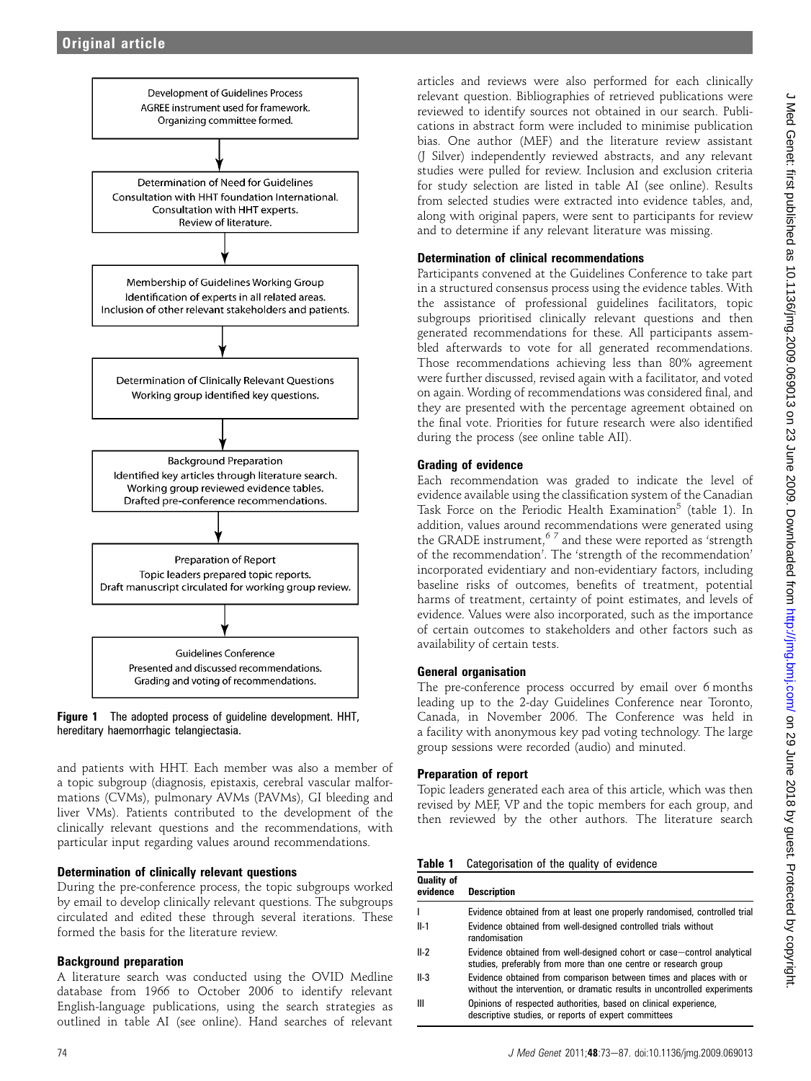

Figure 1 The adopted process of guideline development. HHT, hereditary haemorrhagic telangiectasia.

and patients with HHT. Each member was also a member of a topic subgroup (diagnosis, epistaxis, cerebral vascular malformations (CVMs), pulmonary AVMs (PAVMs), GI bleeding and liver VMs). Patients contributed to the development of the clinically relevant questions and the recommendations, with particular input regarding values around recommendations.

# Determination of clinically relevant questions

During the pre-conference process, the topic subgroups worked by email to develop clinically relevant questions. The subgroups circulated and edited these through several iterations. These formed the basis for the literature review.

# Background preparation

A literature search was conducted using the OVID Medline database from 1966 to October 2006 to identify relevant English-language publications, using the search strategies as outlined in table AI (see online). Hand searches of relevant

articles and reviews were also performed for each clinically relevant question. Bibliographies of retrieved publications were reviewed to identify sources not obtained in our search. Publications in abstract form were included to minimise publication bias. One author (MEF) and the literature review assistant (J Silver) independently reviewed abstracts, and any relevant studies were pulled for review. Inclusion and exclusion criteria for study selection are listed in table AI (see online). Results from selected studies were extracted into evidence tables, and, along with original papers, were sent to participants for review and to determine if any relevant literature was missing.

# Determination of clinical recommendations

Participants convened at the Guidelines Conference to take part in a structured consensus process using the evidence tables. With the assistance of professional guidelines facilitators, topic subgroups prioritised clinically relevant questions and then generated recommendations for these. All participants assembled afterwards to vote for all generated recommendations. Those recommendations achieving less than 80% agreement were further discussed, revised again with a facilitator, and voted on again. Wording of recommendations was considered final, and they are presented with the percentage agreement obtained on the final vote. Priorities for future research were also identified during the process (see online table AII).

# Grading of evidence

Each recommendation was graded to indicate the level of evidence available using the classification system of the Canadian Task Force on the Periodic Health Examination<sup>5</sup> (table 1). In addition, values around recommendations were generated using the GRADE instrument,6 7 and these were reported as 'strength of the recommendation'. The 'strength of the recommendation' incorporated evidentiary and non-evidentiary factors, including baseline risks of outcomes, benefits of treatment, potential harms of treatment, certainty of point estimates, and levels of evidence. Values were also incorporated, such as the importance of certain outcomes to stakeholders and other factors such as availability of certain tests.

# General organisation

The pre-conference process occurred by email over 6 months leading up to the 2-day Guidelines Conference near Toronto, Canada, in November 2006. The Conference was held in a facility with anonymous key pad voting technology. The large group sessions were recorded (audio) and minuted.

# Preparation of report

Topic leaders generated each area of this article, which was then revised by MEF, VP and the topic members for each group, and then reviewed by the other authors. The literature search

|  | <b>Table 1</b> Categorisation of the quality of evidence |  |  |  |  |
|--|----------------------------------------------------------|--|--|--|--|
|--|----------------------------------------------------------|--|--|--|--|

| <b>Quality of</b><br>evidence | <b>Description</b>                                                                                                                              |
|-------------------------------|-------------------------------------------------------------------------------------------------------------------------------------------------|
|                               | Evidence obtained from at least one properly randomised, controlled trial                                                                       |
| $II-1$                        | Evidence obtained from well-designed controlled trials without<br>randomisation                                                                 |
| $II-2$                        | Evidence obtained from well-designed cohort or case-control analytical<br>studies, preferably from more than one centre or research group       |
| II-3                          | Evidence obtained from comparison between times and places with or<br>without the intervention, or dramatic results in uncontrolled experiments |
| Ш                             | Opinions of respected authorities, based on clinical experience,<br>descriptive studies, or reports of expert committees                        |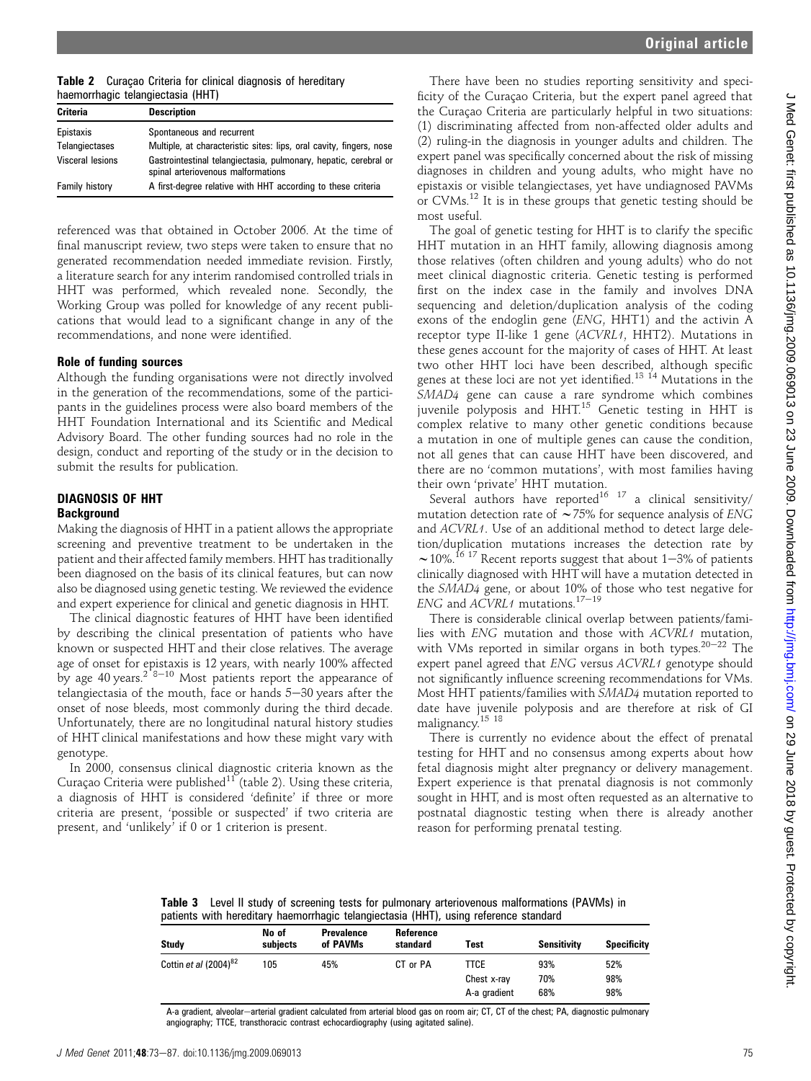|                                   |  |  | Table 2 Curaçao Criteria for clinical diagnosis of hereditary |  |  |
|-----------------------------------|--|--|---------------------------------------------------------------|--|--|
| haemorrhagic telangiectasia (HHT) |  |  |                                                               |  |  |

| Criteria                | <b>Description</b>                                                                                     |
|-------------------------|--------------------------------------------------------------------------------------------------------|
| Epistaxis               | Spontaneous and recurrent                                                                              |
| Telangiectases          | Multiple, at characteristic sites: lips, oral cavity, fingers, nose                                    |
| <b>Visceral lesions</b> | Gastrointestinal telangiectasia, pulmonary, hepatic, cerebral or<br>spinal arteriovenous malformations |
| <b>Family history</b>   | A first-degree relative with HHT according to these criteria                                           |

referenced was that obtained in October 2006. At the time of final manuscript review, two steps were taken to ensure that no generated recommendation needed immediate revision. Firstly, a literature search for any interim randomised controlled trials in HHT was performed, which revealed none. Secondly, the Working Group was polled for knowledge of any recent publications that would lead to a significant change in any of the recommendations, and none were identified.

# Role of funding sources

Although the funding organisations were not directly involved in the generation of the recommendations, some of the participants in the guidelines process were also board members of the HHT Foundation International and its Scientific and Medical Advisory Board. The other funding sources had no role in the design, conduct and reporting of the study or in the decision to submit the results for publication.

# DIAGNOSIS OF HHT **Background**

Making the diagnosis of HHT in a patient allows the appropriate screening and preventive treatment to be undertaken in the patient and their affected family members. HHT has traditionally been diagnosed on the basis of its clinical features, but can now also be diagnosed using genetic testing. We reviewed the evidence and expert experience for clinical and genetic diagnosis in HHT.

The clinical diagnostic features of HHT have been identified by describing the clinical presentation of patients who have known or suspected HHT and their close relatives. The average age of onset for epistaxis is 12 years, with nearly 100% affected by age 40 years.<sup>2 8–10</sup> Most patients report the appearance of telangiectasia of the mouth, face or hands  $5-30$  years after the onset of nose bleeds, most commonly during the third decade. Unfortunately, there are no longitudinal natural history studies of HHT clinical manifestations and how these might vary with genotype.

In 2000, consensus clinical diagnostic criteria known as the Curaçao Criteria were published $11$ <sup>T</sup> (table 2). Using these criteria, a diagnosis of HHT is considered 'definite' if three or more criteria are present, 'possible or suspected' if two criteria are present, and 'unlikely' if 0 or 1 criterion is present.

There have been no studies reporting sensitivity and specificity of the Curaçao Criteria, but the expert panel agreed that the Curaçao Criteria are particularly helpful in two situations: (1) discriminating affected from non-affected older adults and (2) ruling-in the diagnosis in younger adults and children. The expert panel was specifically concerned about the risk of missing diagnoses in children and young adults, who might have no epistaxis or visible telangiectases, yet have undiagnosed PAVMs or CVMs.<sup>12</sup> It is in these groups that genetic testing should be most useful.

The goal of genetic testing for HHT is to clarify the specific HHT mutation in an HHT family, allowing diagnosis among those relatives (often children and young adults) who do not meet clinical diagnostic criteria. Genetic testing is performed first on the index case in the family and involves DNA sequencing and deletion/duplication analysis of the coding exons of the endoglin gene (ENG, HHT1) and the activin A receptor type II-like 1 gene (ACVRL1, HHT2). Mutations in these genes account for the majority of cases of HHT. At least two other HHT loci have been described, although specific genes at these loci are not yet identified.<sup>13 14</sup> Mutations in the SMAD4 gene can cause a rare syndrome which combines juvenile polyposis and HHT.<sup>15</sup> Genetic testing in HHT is complex relative to many other genetic conditions because a mutation in one of multiple genes can cause the condition, not all genes that can cause HHT have been discovered, and there are no 'common mutations', with most families having their own 'private' HHT mutation.

Several authors have reported<sup>16 17</sup> a clinical sensitivity/ mutation detection rate of  $\sim$  75% for sequence analysis of ENG and ACVRL1. Use of an additional method to detect large deletion/duplication mutations increases the detection rate by  $\sim$  10%.<sup>16 17</sup> Recent reports suggest that about 1–3% of patients clinically diagnosed with HHT will have a mutation detected in the SMAD4 gene, or about 10% of those who test negative for ENG and  $ACVRL1$  mutations.<sup>17-19</sup>

There is considerable clinical overlap between patients/families with ENG mutation and those with ACVRL1 mutation, with VMs reported in similar organs in both types.<sup>20-22</sup> The expert panel agreed that ENG versus ACVRL1 genotype should not significantly influence screening recommendations for VMs. Most HHT patients/families with SMAD4 mutation reported to date have juvenile polyposis and are therefore at risk of GI malignancy.15 18

There is currently no evidence about the effect of prenatal testing for HHT and no consensus among experts about how fetal diagnosis might alter pregnancy or delivery management. Expert experience is that prenatal diagnosis is not commonly sought in HHT, and is most often requested as an alternative to postnatal diagnostic testing when there is already another reason for performing prenatal testing.

Table 3 Level II study of screening tests for pulmonary arteriovenous malformations (PAVMs) in patients with hereditary haemorrhagic telangiectasia (HHT), using reference standard

| Study                             | No of<br>subiects | <b>Prevalence</b><br>of PAVMs | Reference<br>standard | Test         | Sensitivity | <b>Specificity</b> |
|-----------------------------------|-------------------|-------------------------------|-----------------------|--------------|-------------|--------------------|
| Cottin et al (2004) <sup>82</sup> | 105               | 45%                           | CT or PA              | TTCE         | 93%         | 52%                |
|                                   |                   |                               |                       | Chest x-ray  | 70%         | 98%                |
|                                   |                   |                               |                       | A-a gradient | 68%         | 98%                |

A-a gradient, alveolar-arterial gradient calculated from arterial blood gas on room air; CT, CT of the chest; PA, diagnostic pulmonary angiography; TTCE, transthoracic contrast echocardiography (using agitated saline).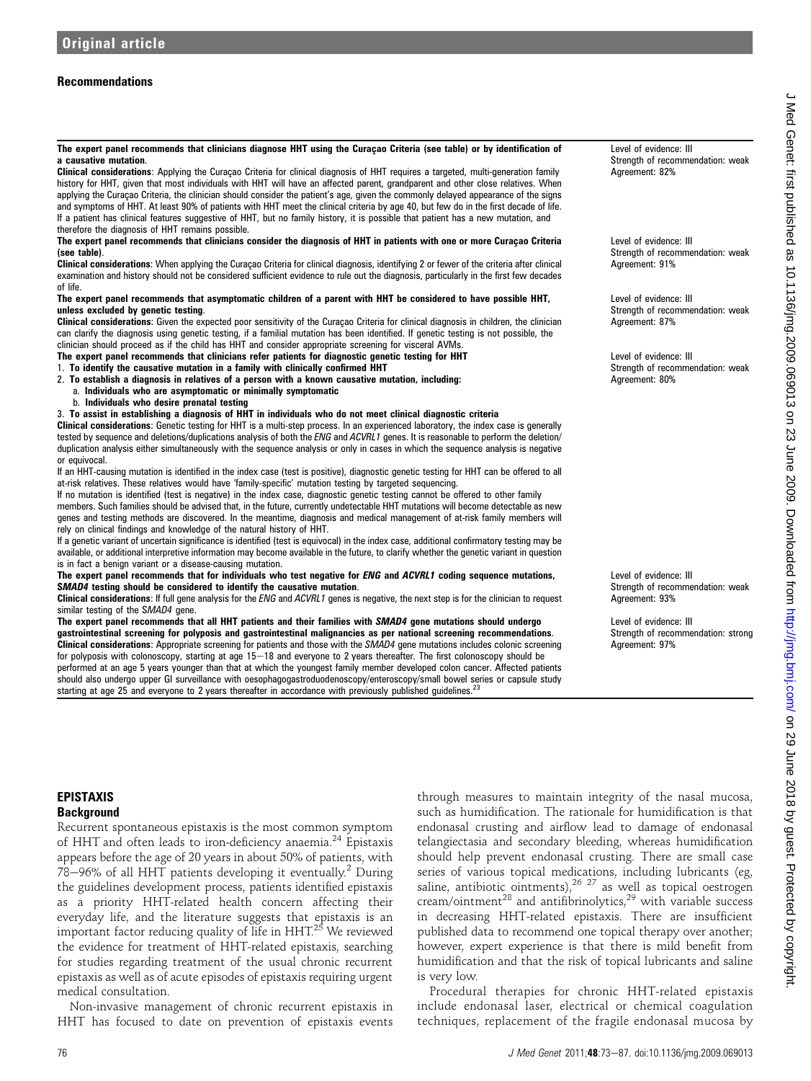# Recommendations

The expert panel recommends that clinicians diagnose HHT using the Curacao Criteria (see table) or by identification of a causative mutation.

Clinical considerations: Applying the Curaçao Criteria for clinical diagnosis of HHT requires a targeted, multi-generation family history for HHT, given that most individuals with HHT will have an affected parent, grandparent and other close relatives. When applying the Curacao Criteria, the clinician should consider the patient's age, given the commonly delayed appearance of the signs and symptoms of HHT. At least 90% of patients with HHT meet the clinical criteria by age 40, but few do in the first decade of life. If a patient has clinical features suggestive of HHT, but no family history, it is possible that patient has a new mutation, and therefore the diagnosis of HHT remains possible.

The expert panel recommends that clinicians consider the diagnosis of HHT in patients with one or more Curacao Criteria (see table).

Clinical considerations: When applying the Curacao Criteria for clinical diagnosis, identifying 2 or fewer of the criteria after clinical examination and history should not be considered sufficient evidence to rule out the diagnosis, particularly in the first few decades of life.

### The expert panel recommends that asymptomatic children of a parent with HHT be considered to have possible HHT, unless excluded by genetic testing.

Clinical considerations: Given the expected poor sensitivity of the Curaçao Criteria for clinical diagnosis in children, the clinician can clarify the diagnosis using genetic testing, if a familial mutation has been identified. If genetic testing is not possible, the clinician should proceed as if the child has HHT and consider appropriate screening for visceral AVMs.

The expert panel recommends that clinicians refer patients for diagnostic genetic testing for HHT

- 1. To identify the causative mutation in a family with clinically confirmed HHT
- 2. To establish a diagnosis in relatives of a person with a known causative mutation, including:
	- a. Individuals who are asymptomatic or minimally symptomatic
	- b. Individuals who desire prenatal testing
- 3. To assist in establishing a diagnosis of HHT in individuals who do not meet clinical diagnostic criteria

Clinical considerations: Genetic testing for HHT is a multi-step process. In an experienced laboratory, the index case is generally tested by sequence and deletions/duplications analysis of both the ENG and ACVRL1 genes. It is reasonable to perform the deletion/ duplication analysis either simultaneously with the sequence analysis or only in cases in which the sequence analysis is negative or equivocal.

If an HHT-causing mutation is identified in the index case (test is positive), diagnostic genetic testing for HHT can be offered to all at-risk relatives. These relatives would have 'family-specific' mutation testing by targeted sequencing.

If no mutation is identified (test is negative) in the index case, diagnostic genetic testing cannot be offered to other family members. Such families should be advised that, in the future, currently undetectable HHT mutations will become detectable as new genes and testing methods are discovered. In the meantime, diagnosis and medical management of at-risk family members will rely on clinical findings and knowledge of the natural history of HHT.

If a genetic variant of uncertain significance is identified (test is equivocal) in the index case, additional confirmatory testing may be available, or additional interpretive information may become available in the future, to clarify whether the genetic variant in question is in fact a benign variant or a disease-causing mutation.

The expert panel recommends that for individuals who test negative for ENG and ACVRL1 coding sequence mutations, SMAD4 testing should be considered to identify the causative mutation.

Clinical considerations: If full gene analysis for the ENG and ACVRL1 genes is negative, the next step is for the clinician to request similar testing of the SMAD4 gene.

The expert panel recommends that all HHT patients and their families with SMAD4 gene mutations should undergo gastrointestinal screening for polyposis and gastrointestinal malignancies as per national screening recommendations. Clinical considerations: Appropriate screening for patients and those with the SMAD4 gene mutations includes colonic screening for polyposis with colonoscopy, starting at age  $15-18$  and everyone to 2 years thereafter. The first colonoscopy should be performed at an age 5 years younger than that at which the youngest family member developed colon cancer. Affected patients should also undergo upper GI surveillance with oesophagogastroduodenoscopy/enteroscopy/small bowel series or capsule study starting at age 25 and everyone to 2 years thereafter in accordance with previously published guidelines.<sup>23</sup>

Level of evidence: III Strength of recommendation: weak Agreement: 82%

Level of evidence: III Strength of recommendation: weak Agreement: 91%

Level of evidence: III Strength of recommendation: weak Agreement: 87%

Level of evidence: III Strength of recommendation: weak Agreement: 80%

Level of evidence: III Strength of recommendation: weak Agreement: 93%

Level of evidence: III Strength of recommendation: strong Agreement: 97%

Recurrent spontaneous epistaxis is the most common symptom of HHT and often leads to iron-deficiency anaemia.<sup>24</sup> Epistaxis appears before the age of 20 years in about 50% of patients, with  $78-96%$  of all HHT patients developing it eventually.<sup>2</sup> During the guidelines development process, patients identified epistaxis as a priority HHT-related health concern affecting their everyday life, and the literature suggests that epistaxis is an important factor reducing quality of life in HHT.<sup>25</sup> We reviewed the evidence for treatment of HHT-related epistaxis, searching for studies regarding treatment of the usual chronic recurrent epistaxis as well as of acute episodes of epistaxis requiring urgent medical consultation.

Non-invasive management of chronic recurrent epistaxis in HHT has focused to date on prevention of epistaxis events

through measures to maintain integrity of the nasal mucosa, such as humidification. The rationale for humidification is that endonasal crusting and airflow lead to damage of endonasal telangiectasia and secondary bleeding, whereas humidification should help prevent endonasal crusting. There are small case series of various topical medications, including lubricants (eg, saline, antibiotic ointments), $^{26}$   $^{27}$  as well as topical oestrogen cream/ointment<sup>28</sup> and antifibrinolytics,<sup>29</sup> with variable success in decreasing HHT-related epistaxis. There are insufficient published data to recommend one topical therapy over another; however, expert experience is that there is mild benefit from humidification and that the risk of topical lubricants and saline is very low.

Procedural therapies for chronic HHT-related epistaxis include endonasal laser, electrical or chemical coagulation techniques, replacement of the fragile endonasal mucosa by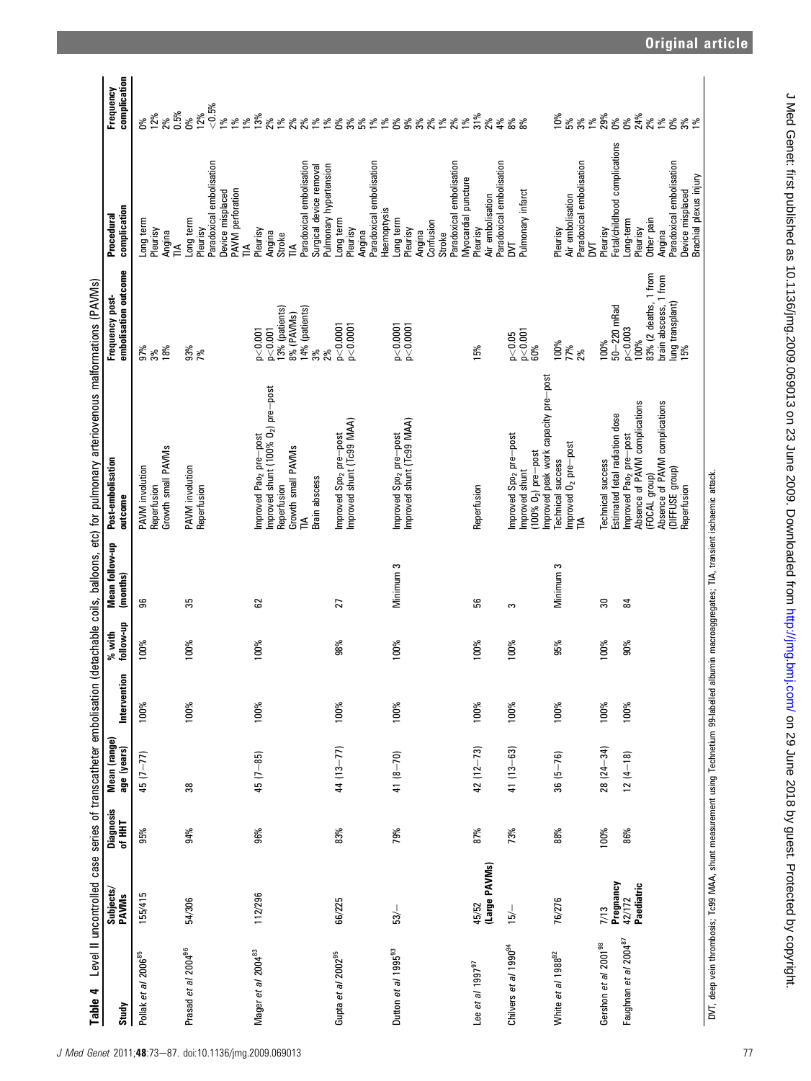| Table 4                                                                                                                                       | Level II uncontrolled case series of transcatheter embolisation |                     |                             |              |                       |                            | (detachable coils, balloons, etc) for pulmonary arteriovenous malformations (PAVMs)                                                                                                                            |                                                                                                                           |                                                                                                                                            |                                          |
|-----------------------------------------------------------------------------------------------------------------------------------------------|-----------------------------------------------------------------|---------------------|-----------------------------|--------------|-----------------------|----------------------------|----------------------------------------------------------------------------------------------------------------------------------------------------------------------------------------------------------------|---------------------------------------------------------------------------------------------------------------------------|--------------------------------------------------------------------------------------------------------------------------------------------|------------------------------------------|
| Study                                                                                                                                         | Subjects/<br><b>PAVMs</b>                                       | Diagnosis<br>of HHT | Mean (range)<br>age (years) | Intervention | follow-up<br>$%$ with | Mean follow-up<br>(months) | Post-embolisation<br>outcome                                                                                                                                                                                   | embolisation outcome<br>Frequency post-                                                                                   | complication<br>Procedural                                                                                                                 | complication<br>Frequency                |
| Pollak et al 2006 <sup>85</sup>                                                                                                               | 155/415                                                         | 95%                 | $(1 - 77)$                  | 100%         | 100%                  | 96                         | Growth small PAVMs<br>PAVM involution<br>Reperfusion                                                                                                                                                           | 97%<br>3%<br>18%                                                                                                          | Long term<br>Pleurisy<br>Angina<br>TIA                                                                                                     | $0.5\%$<br>$0\%$<br>$12\%$<br>2%         |
| Prasad et al 2004 <sup>96</sup>                                                                                                               | 54/306                                                          | 94%                 | 38                          | 100%         | 100%                  | 35                         | PAVM involution<br>Reperfusion                                                                                                                                                                                 | 93%<br>7%                                                                                                                 | Paradoxical embolisation<br>PAVM perforation<br>Device misplaced<br>Long term<br>Pleurisy                                                  | $< 0.5\%$<br>12%<br>ð.<br>$188$<br>$189$ |
| Mager et al 2004 <sup>83</sup>                                                                                                                | 112/296                                                         | 96%                 | $45(7 - 85)$                | 100%         | 100%                  | 62                         | improved shunt (100% O <sub>2</sub> ) pre-post<br>Improved Pao <sub>2</sub> pre-post<br>Growth small PAVMs<br>Brain abscess<br>Reperfusion<br>즫                                                                | 3% (patients)<br>4% (patients)<br>8% (PAVMs)<br>p < 0.001<br>p < 0.001<br>3%                                              | Paradoxical embolisation<br>Surgical device removal<br>Pleurisy<br>Angina<br>Stroke<br>$\mathbb{1}$<br>$\mathbb{A}$                        | 13%                                      |
| Gupta et al 2002 <sup>95</sup>                                                                                                                | 66/225                                                          | 83%                 | $44(13 - 77)$               | 100%         | 98%                   | 27                         | Improved Spo <sub>2</sub> pre—post<br>Improved shunt (Tc99 MAA)                                                                                                                                                | p<0.0001<br>p < 0.0001<br>2%                                                                                              | Paradoxical embolisation<br>Pulmonary hypertension<br>Long term<br>Pleurisy<br>Angina                                                      |                                          |
| Dutton et al 1995 <sup>93</sup>                                                                                                               | 53/                                                             | 79%                 | $41 (8 - 70)$               | 100%         | 100%                  | Minimum <sub>3</sub>       | Improved shunt (Tc99 MAA)<br>Improved Spo <sub>2</sub> pre-post                                                                                                                                                | p < 0.0001<br>p < 0.0001                                                                                                  | Paradoxical embolisation<br>Haemoptysis<br>Long term<br>Confusion<br>Pleurisy<br>Angina<br>Stroke                                          |                                          |
| Lee et al $1997^{97}$                                                                                                                         | (Large PAVMs)<br>45/52                                          | 87%                 | $42(12 - 73)$               | 100%         | 100%                  | 56                         | Reperfusion                                                                                                                                                                                                    | 15%                                                                                                                       | Myocardial puncture<br>Air embolisation<br>Pleurisy                                                                                        | 4%                                       |
| Chilvers et al 1990 <sup>94</sup>                                                                                                             | 15/                                                             | 73%                 | $41(13 - 63)$               | 100%         | 100%                  | S                          | mproved Spo <sub>2</sub> pre-post<br>$(100\% 02)$ pre-post<br>improved shunt                                                                                                                                   | p < 0.001<br>p < 0.05<br>60%                                                                                              | Paradoxical embolisation<br>Pulmonary infarct<br>Σ                                                                                         | 8%<br>8%                                 |
| White et al 1988 <sup>92</sup>                                                                                                                | 76/276                                                          | 88%                 | $36(5 - 76)$                | 100%         | 95%                   | Minimum <sub>3</sub>       | improved peak work capacity pre-post<br>Improved O <sub>2</sub> pre-post<br><b>Technical success</b><br>≦                                                                                                      | 100%<br>77%<br>2%                                                                                                         | Paradoxical embolisation<br>Air embolisation<br>Pleurisy<br>Σ                                                                              |                                          |
| Faughnan et al 2004 <sup>87</sup><br>Gershon et al 2001 <sup>98</sup>                                                                         | Pregnancy<br>$42/172$<br>Paediatric<br>7/13                     | 86%<br>100%         | $28(24-34)$<br>$12(4 - 18)$ | 100%<br>100% | 100%<br>$90\%$        | 30<br>$\overline{8}$       | Absence of PAVM complications<br>Absence of PAVM complications<br>Estimated fetal radiation dose<br>Improved Pao <sub>2</sub> pre-post<br>Technical success<br>(DIFFUSE group)<br>[FOCAL group)<br>Reperfusion | 83% (2 deaths, 1 from<br>brain abscess, 1 from<br>lung transplant)<br>15%<br>$50 - 220$ mRad<br>p < 0.003<br>100%<br>100% | Fetal/childhood complications<br>Paradoxical embolisation<br>Device misplaced<br>Other pain<br>Long-term<br>Pleurisy<br>Pleurisy<br>Angina | ១<br>ក្នុំ និន្ទ្រី និន្ទ្រី និន្ទ្រី និ |
| DVT, deep vein thrombosis; Tc99 MAA, shunt measurement using Technetium 99-labelled albumin macroaggregates; TIA, transient ischaemic attack. |                                                                 |                     |                             |              |                       |                            |                                                                                                                                                                                                                |                                                                                                                           | Brachial plexus injury                                                                                                                     |                                          |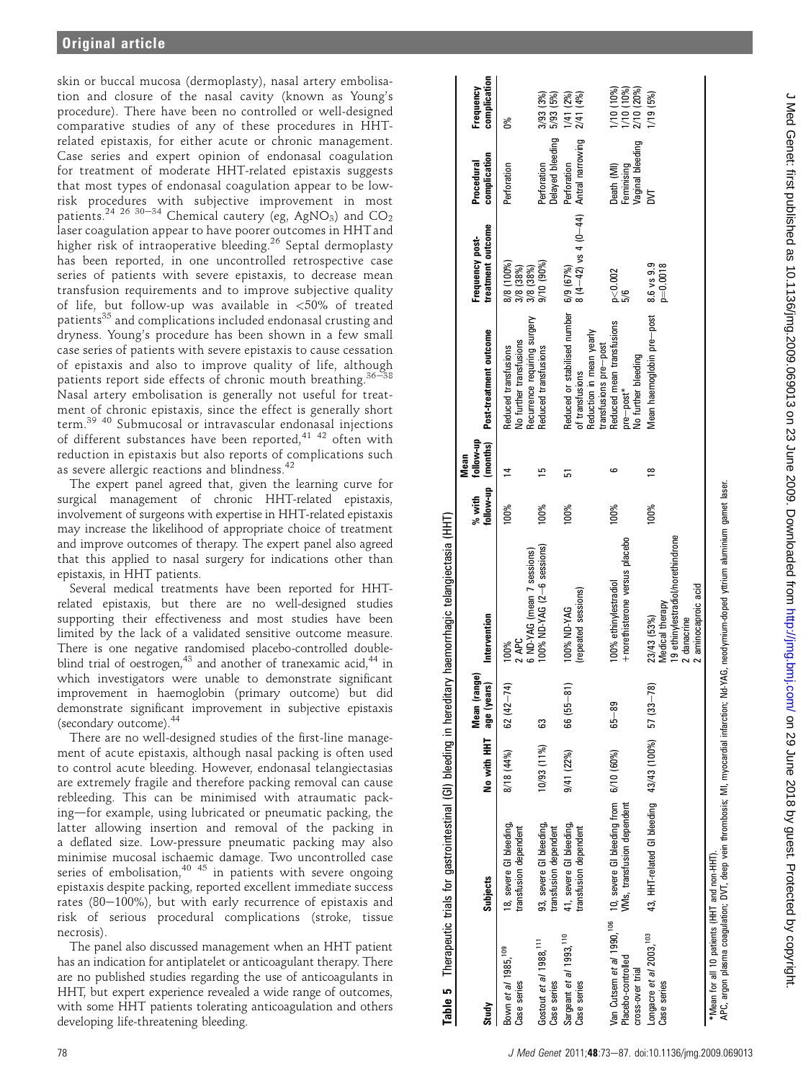skin or buccal mucosa (dermoplasty), nasal artery embolisation and closure of the nasal cavity (known as Young's procedure). There have been no controlled or well-designed comparative studies of any of these procedures in HHTrelated epistaxis, for either acute or chronic management. Case series and expert opinion of endonasal coagulation for treatment of moderate HHT-related epistaxis suggests that most types of endonasal coagulation appear to be lowrisk procedures with subjective improvement in most patients.<sup>24 26 30–34</sup> Chemical cautery (eg, AgNO<sub>3</sub>) and CO<sub>2</sub> laser coagulation appear to have poorer outcomes in HHT and higher risk of intraoperative bleeding.<sup>26</sup> Septal dermoplasty has been reported, in one uncontrolled retrospective case series of patients with severe epistaxis, to decrease mean transfusion requirements and to improve subjective quality of life, but follow-up was available in  $\langle 50\%$  of treated patients<sup>35</sup> and complications included endonasal crusting and dryness. Young's procedure has been shown in a few small case series of patients with severe epistaxis to cause cessation of epistaxis and also to improve quality of life, although patients report side effects of chronic mouth breathing. $36-38$ Nasal artery embolisation is generally not useful for treatment of chronic epistaxis, since the effect is generally short term.39 40 Submucosal or intravascular endonasal injections of different substances have been reported, $4^{1/42}$  often with reduction in epistaxis but also reports of complications such as severe allergic reactions and blindness.<sup>42</sup>

The expert panel agreed that, given the learning curve for surgical management of chronic HHT-related epistaxis, involvement of surgeons with expertise in HHT-related epistaxis may increase the likelihood of appropriate choice of treatment and improve outcomes of therapy. The expert panel also agreed that this applied to nasal surgery for indications other than epistaxis, in HHT patients.

Several medical treatments have been reported for HHTrelated epistaxis, but there are no well-designed studies supporting their effectiveness and most studies have been limited by the lack of a validated sensitive outcome measure. There is one negative randomised placebo-controlled doubleblind trial of oestrogen, $43$  and another of tranexamic acid, $44$  in which investigators were unable to demonstrate significant improvement in haemoglobin (primary outcome) but did demonstrate significant improvement in subjective epistaxis (secondary outcome).<sup>44</sup>

There are no well-designed studies of the first-line management of acute epistaxis, although nasal packing is often used to control acute bleeding. However, endonasal telangiectasias are extremely fragile and therefore packing removal can cause rebleeding. This can be minimised with atraumatic packing-for example, using lubricated or pneumatic packing, the latter allowing insertion and removal of the packing in a deflated size. Low-pressure pneumatic packing may also minimise mucosal ischaemic damage. Two uncontrolled case series of embolisation,<sup>40 45</sup> in patients with severe ongoing epistaxis despite packing, reported excellent immediate success rates (80 $-100\%$ ), but with early recurrence of epistaxis and risk of serious procedural complications (stroke, tissue necrosis).

The panel also discussed management when an HHT patient has an indication for antiplatelet or anticoagulant therapy. There are no published studies regarding the use of anticoagulants in HHT, but expert experience revealed a wide range of outcomes, with some HHT patients tolerating anticoagulation and others developing life-threatening bleeding.

|                                                         |                                                                                   |             |                                | Table 5 Therapeutic trials for gastrointestinal (GI) bleeding in hereditary haemorrhagic telangiectasia (HHT                                |                              |           |                                                                                |                                      |                                      |                                        |
|---------------------------------------------------------|-----------------------------------------------------------------------------------|-------------|--------------------------------|---------------------------------------------------------------------------------------------------------------------------------------------|------------------------------|-----------|--------------------------------------------------------------------------------|--------------------------------------|--------------------------------------|----------------------------------------|
|                                                         |                                                                                   |             |                                |                                                                                                                                             |                              | Mean      |                                                                                |                                      |                                      |                                        |
| Study                                                   | <b>Subjects</b>                                                                   | No with HHT | g<br>Mean (rang<br>age (years) | Intervention                                                                                                                                | follow-up (months)<br>% with | follow-up | Post-treatment outcome                                                         | treatment outcome<br>Frequency post- | complication<br>Procedural           | complication<br>Frequency              |
| Bown et al 1985, 109<br>Case series                     | 18, severe GI bleeding,<br>transfusion dependent                                  | 8/18 (44%)  | $62(42 - 74)$                  | 2 APC<br>100%                                                                                                                               | 100%                         |           | No further transfusions<br>Reduced transfusions                                | 8/8 (100%)                           | Perforation                          | ರಿ%                                    |
| Gostout et al 1988. <sup>111</sup><br>Case series       | 93, severe GI bleeding,<br>transfusion dependent                                  | 10/93 (11%) | 63                             | 100% ND-YAG (2-6 sessions)<br>6 ND-YAG (mean 7 sessions)                                                                                    | 100%                         | 51        | Recurrence requiring surgery<br>Reduced transfusions                           | 3/8 (38%)<br>3/8 (38%)<br>9/10 (90%) | Delayed bleeding<br>Perforation      | 3/93 (3%)<br>5/93 (5%)                 |
| Sargeant et al 1993, <sup>110</sup><br>Case series      | 41, severe GI bleeding,<br>transfusion dependent                                  | 9/41(22%)   | $66(55 - 81)$                  | (repeated sessions)<br>100% ND-YAG                                                                                                          | 100%                         | 5         | Reduced or stabilised number 6/9 (67%)<br>of transfusions                      | $(4-42)$ vs 4 (0 -44)                | Antral narrowing<br>Perforation      | 2/41 (4%)<br>$(2\%)$<br>1/41           |
| Placebo-controlled                                      | Van Cutsem et al 1990, <sup>106</sup> 10, severe Gl bleeding from 6/10 (60%)      |             | $65 - 89$                      | +norethisterone versus placebo<br>100% ethinylestradiol                                                                                     | 100%                         | c         | Reduced mean transfusions<br>Reduction in mean yearly<br>transfusions pre-post | p < 0.002<br>5/6                     | Death (MI)                           | 1/10 (10%)<br>1/10 (10%)<br>2/10 (20%) |
| Longacre et al 2003. <sup>103</sup><br>cross-over trial | 43, HHT-related GI bleeding 43/43 (100%) 57 (33-78)<br>VMs, transfusion dependent |             |                                | 23/43 (53%)                                                                                                                                 | 100%                         | $\approx$ | Mean haemoglobin pre-post<br>No further bleeding<br>$pre-post*$                | 8.6 vs 9.9                           | Feminising<br>Vaginal bleeding<br>ŠД | 1/19(5%)                               |
| Case series                                             |                                                                                   |             |                                | 19 ethinylestradiol/norethindrone<br>2 aminocaproic acid<br>Medical therapy<br>2 danacrine                                                  |                              |           |                                                                                | $p = 0.0018$                         |                                      |                                        |
| *Mean for all 10 patients (HHT and non-HHT)             |                                                                                   |             |                                | APC, argon plasma coagulation; DVT, deep vein thrombosis; MI, myocardial infarction; Nd-YAG, neodymium-doped ytrium aluminium garnet laser. |                              |           |                                                                                |                                      |                                      |                                        |

J Med Genet: first published as 10.1136/jmg.2009.069013 on 23 June 2009. Downloaded from <http://jmg.bmj.com/> on 29 June 2018 by guest. Protected by copyright.

J Med Genet: first published as 10.1136/jmg.2009.069013 on 23 June 2009. Downloaded from http://jmg.brnj.com/ on 29 June 2018 by guest. Protected by copyright

**Table**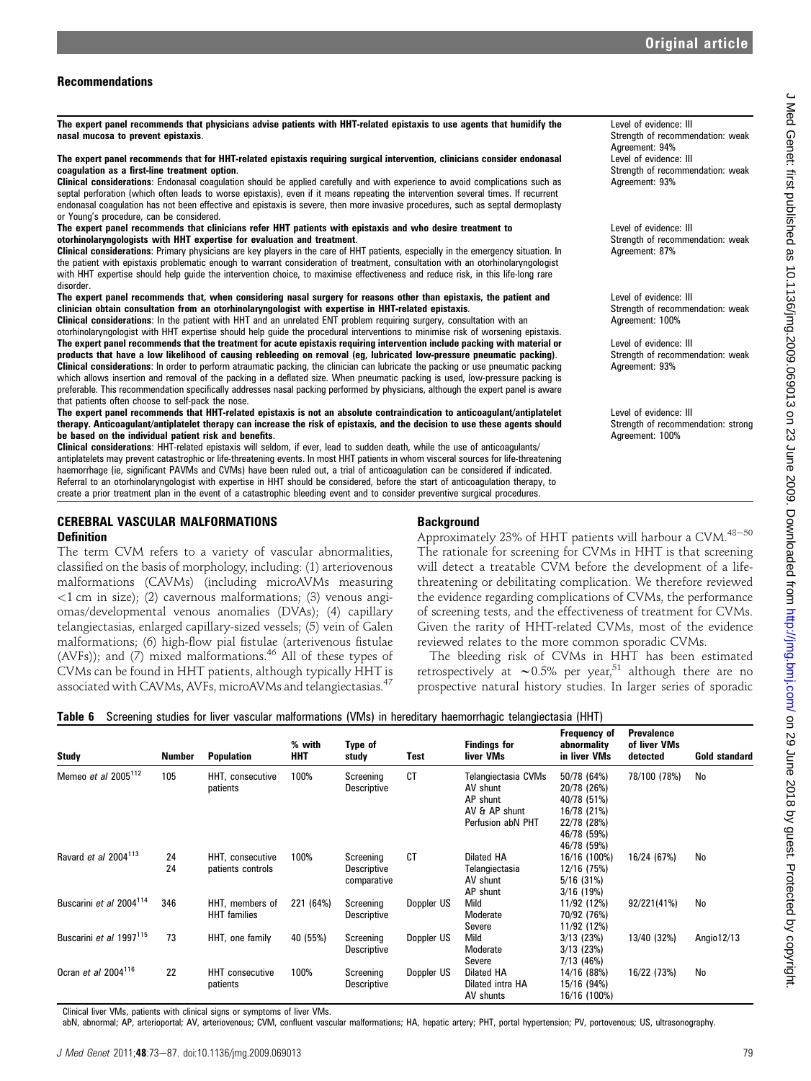Level of evidence: III

Level of evidence: III

Level of evidence: III

Level of evidence: III

Level of evidence: III

Level of evidence: III

Agreement: 100%

Agreement: 100%

Agreement: 93%

Agreement: 94%

Agreement: 93%

Agreement: 87%

Strength of recommendation: weak

Strength of recommendation: weak

Strength of recommendation: weak

Strength of recommendation: weak

Strength of recommendation: weak

Strength of recommendation: strong

# Recommendations

The expert panel recommends that physicians advise patients with HHT-related epistaxis to use agents that humidify the nasal mucosa to prevent epistaxis.

### The expert panel recommends that for HHT-related epistaxis requiring surgical intervention, clinicians consider endonasal coagulation as a first-line treatment option.

Clinical considerations: Endonasal coagulation should be applied carefully and with experience to avoid complications such as septal perforation (which often leads to worse epistaxis), even if it means repeating the intervention several times. If recurrent endonasal coagulation has not been effective and epistaxis is severe, then more invasive procedures, such as septal dermoplasty or Young's procedure, can be considered.

The expert panel recommends that clinicians refer HHT patients with epistaxis and who desire treatment to otorhinolaryngologists with HHT expertise for evaluation and treatment.

Clinical considerations: Primary physicians are key players in the care of HHT patients, especially in the emergency situation. In the patient with epistaxis problematic enough to warrant consideration of treatment, consultation with an otorhinolaryngologist with HHT expertise should help guide the intervention choice, to maximise effectiveness and reduce risk, in this life-long rare disorder.

The expert panel recommends that, when considering nasal surgery for reasons other than epistaxis, the patient and clinician obtain consultation from an otorhinolaryngologist with expertise in HHT-related epistaxis.

Clinical considerations: In the patient with HHT and an unrelated ENT problem requiring surgery, consultation with an otorhinolaryngologist with HHT expertise should help guide the procedural interventions to minimise risk of worsening epistaxis. The expert panel recommends that the treatment for acute epistaxis requiring intervention include packing with material or products that have a low likelihood of causing rebleeding on removal (eg, lubricated low-pressure pneumatic packing). Clinical considerations: In order to perform atraumatic packing, the clinician can lubricate the packing or use pneumatic packing which allows insertion and removal of the packing in a deflated size. When pneumatic packing is used, low-pressure packing is preferable. This recommendation specifically addresses nasal packing performed by physicians, although the expert panel is aware that patients often choose to self-pack the nose.

The expert panel recommends that HHT-related epistaxis is not an absolute contraindication to anticoagulant/antiplatelet therapy. Anticoagulant/antiplatelet therapy can increase the risk of epistaxis, and the decision to use these agents should be based on the individual patient risk and benefits.

Clinical considerations: HHT-related epistaxis will seldom, if ever, lead to sudden death, while the use of anticoagulants/ antiplatelets may prevent catastrophic or life-threatening events. In most HHT patients in whom visceral sources for life-threatening haemorrhage (ie, significant PAVMs and CVMs) have been ruled out, a trial of anticoagulation can be considered if indicated. Referral to an otorhinolaryngologist with expertise in HHT should be considered, before the start of anticoagulation therapy, to create a prior treatment plan in the event of a catastrophic bleeding event and to consider preventive surgical procedures.

# CEREBRAL VASCULAR MALFORMATIONS

### Definition

The term CVM refers to a variety of vascular abnormalities, classified on the basis of morphology, including: (1) arteriovenous malformations (CAVMs) (including microAVMs measuring  $(3)$  cm in size); (2) cavernous malformations; (3) venous angiomas/developmental venous anomalies (DVAs); (4) capillary telangiectasias, enlarged capillary-sized vessels; (5) vein of Galen malformations; (6) high-flow pial fistulae (arterivenous fistulae (AVFs)); and (7) mixed malformations. $46$  All of these types of CVMs can be found in HHT patients, although typically HHT is associated with CAVMs, AVFs, microAVMs and telangiectasias.<sup>47</sup>

# **Background**

Approximately 23% of HHT patients will harbour a CVM. $48-50$ The rationale for screening for CVMs in HHT is that screening will detect a treatable CVM before the development of a lifethreatening or debilitating complication. We therefore reviewed the evidence regarding complications of CVMs, the performance of screening tests, and the effectiveness of treatment for CVMs. Given the rarity of HHT-related CVMs, most of the evidence reviewed relates to the more common sporadic CVMs.

The bleeding risk of CVMs in HHT has been estimated retrospectively at  $\sim 0.5\%$  per year,<sup>51</sup> although there are no prospective natural history studies. In larger series of sporadic

|  |  |  |  |  | Table 6 Screening studies for liver vascular malformations (VMs) in hereditary haemorrhagic telangiectasia (HHT) |  |
|--|--|--|--|--|------------------------------------------------------------------------------------------------------------------|--|
|--|--|--|--|--|------------------------------------------------------------------------------------------------------------------|--|

| <b>Study</b>                        | Number   | <b>Population</b>                      | % with<br>HHT | Type of<br>study                               | Test       | <b>Findings for</b><br>liver VMs                                                  | Frequency of<br>abnormality<br>in liver VMs                                                           | <b>Prevalence</b><br>of liver VMs<br>detected | <b>Gold standard</b> |
|-------------------------------------|----------|----------------------------------------|---------------|------------------------------------------------|------------|-----------------------------------------------------------------------------------|-------------------------------------------------------------------------------------------------------|-----------------------------------------------|----------------------|
| Memeo et al 2005 <sup>112</sup>     | 105      | HHT, consecutive<br>patients           | 100%          | Screening<br><b>Descriptive</b>                | <b>CT</b>  | Telangiectasia CVMs<br>AV shunt<br>AP shunt<br>AV & AP shunt<br>Perfusion abN PHT | 50/78 (64%)<br>20/78 (26%)<br>40/78 (51%)<br>16/78 (21%)<br>22/78 (28%)<br>46/78 (59%)<br>46/78 (59%) | 78/100 (78%)                                  | No                   |
| Ravard et al 2004 <sup>113</sup>    | 24<br>24 | HHT, consecutive<br>patients controls  | 100%          | Screening<br><b>Descriptive</b><br>comparative | СT         | Dilated HA<br>Telangiectasia<br>AV shunt<br>AP shunt                              | 16/16 (100%)<br>12/16 (75%)<br>$5/16$ (31%)<br>$3/16$ (19%)                                           | 16/24 (67%)                                   | No                   |
| Buscarini et al 2004 <sup>114</sup> | 346      | HHT, members of<br><b>HHT</b> families | 221 (64%)     | Screening<br><b>Descriptive</b>                | Doppler US | Mild<br>Moderate<br>Severe                                                        | 11/92 (12%)<br>70/92 (76%)<br>11/92 (12%)                                                             | 92/221(41%)                                   | No                   |
| Buscarini et al 1997 <sup>115</sup> | 73       | HHT, one family                        | 40 (55%)      | Screening<br><b>Descriptive</b>                | Doppler US | Mild<br>Moderate<br>Severe                                                        | $3/13$ (23%)<br>$3/13$ (23%)<br>7/13 (46%)                                                            | 13/40 (32%)                                   | Angio 12/13          |
| Ocran et al 2004 <sup>116</sup>     | 22       | <b>HHT</b> consecutive<br>patients     | 100%          | Screening<br><b>Descriptive</b>                | Doppler US | Dilated HA<br>Dilated intra HA<br>AV shunts                                       | 14/16 (88%)<br>15/16 (94%)<br>16/16 (100%)                                                            | 16/22 (73%)                                   | No                   |

Clinical liver VMs, patients with clinical signs or symptoms of liver VMs.

abN, abnormal; AP, arterioportal; AV, arteriovenous; CVM, confluent vascular malformations; HA, hepatic artery; PHT, portal hypertension; PV, portovenous; US, ultrasonography.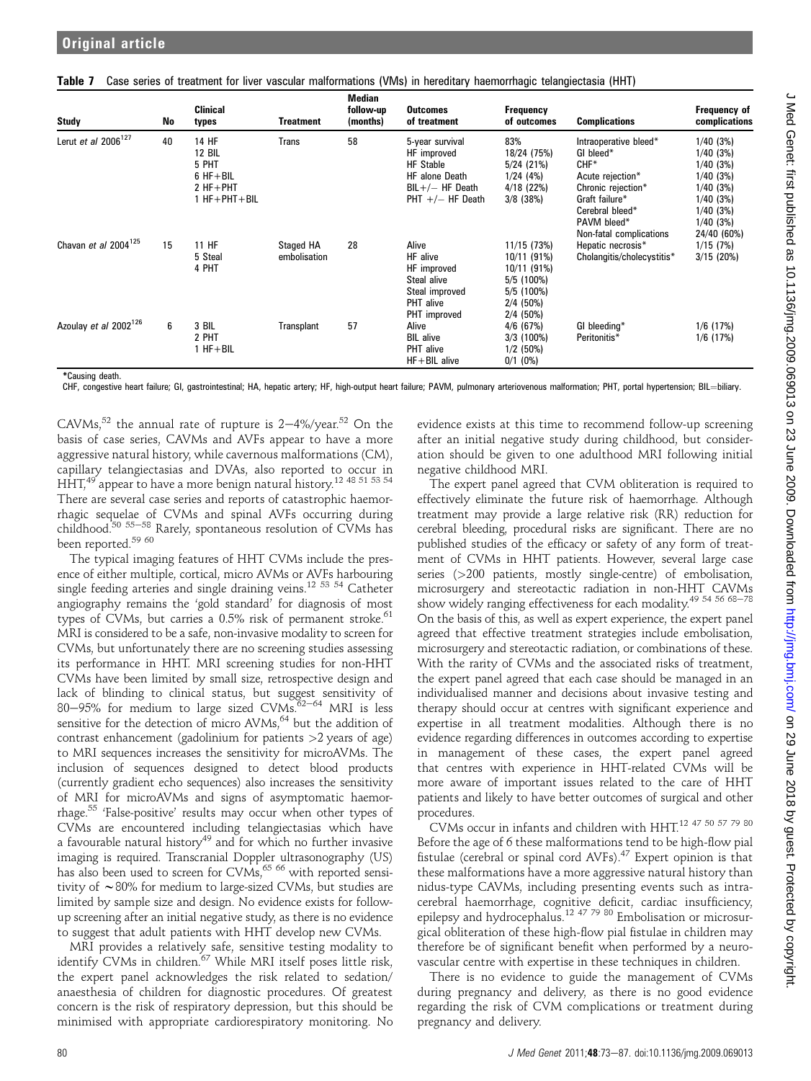| Study                             | No | <b>Clinical</b><br>types                                                              | <b>Treatment</b>                 | <b>IVIGUIAII</b><br>follow-up<br>(months) | <b>Outcomes</b><br>of treatment                                                                                        | Frequency<br>of outcomes                                                                                | <b>Complications</b>                                                                                                                       | Frequency of<br>complications                                                                |
|-----------------------------------|----|---------------------------------------------------------------------------------------|----------------------------------|-------------------------------------------|------------------------------------------------------------------------------------------------------------------------|---------------------------------------------------------------------------------------------------------|--------------------------------------------------------------------------------------------------------------------------------------------|----------------------------------------------------------------------------------------------|
| Lerut et al $2006^{127}$          | 40 | 14 HF<br><b>12 BIL</b><br>5 PHT<br>$6$ HF + BIL<br>$2 HF + PHT$<br>$1 HF + PHT + BIL$ | <b>Trans</b>                     | 58                                        | 5-year survival<br>HF improved<br><b>HF</b> Stable<br><b>HF</b> alone Death<br>$BIL+/- HF$ Death<br>PHT $+/-$ HF Death | 83%<br>18/24 (75%)<br>$5/24$ (21%)<br>1/24(4%)<br>$4/18$ (22%)<br>$3/8$ (38%)                           | Intraoperative bleed*<br>GI bleed*<br>$CHF*$<br>Acute rejection*<br>Chronic rejection*<br>Graft failure*<br>Cerebral bleed*<br>PAVM bleed* | 1/40(3%)<br>1/40(3%)<br>1/40(3%)<br>1/40(3%)<br>1/40(3%)<br>1/40(3%)<br>1/40(3%)<br>1/40(3%) |
| Chavan et al 2004 <sup>125</sup>  | 15 | 11 HF<br>5 Steal<br>4 PHT                                                             | <b>Staged HA</b><br>embolisation | 28                                        | Alive<br>HF alive<br>HF improved<br>Steal alive<br>Steal improved<br><b>PHT</b> alive<br>PHT improved                  | 11/15 (73%)<br>10/11 (91%)<br>10/11 (91%)<br>$5/5$ (100%)<br>$5/5$ (100%)<br>$2/4$ (50%)<br>$2/4$ (50%) | Non-fatal complications<br>Hepatic necrosis*<br>Cholangitis/cholecystitis*                                                                 | 24/40 (60%)<br>1/15(7%)<br>$3/15$ (20%)                                                      |
| Azoulay et al 2002 <sup>126</sup> | 6  | 3 BIL<br>2 PHT<br>$1 HF + BIL$                                                        | Transplant                       | 57                                        | Alive<br><b>BIL</b> alive<br><b>PHT</b> alive<br>$HF + BIL$ alive                                                      | $4/6$ (67%)<br>$3/3$ (100%)<br>$1/2$ (50%)<br>$0/1$ (0%)                                                | GI bleeding*<br>Peritonitis*                                                                                                               | $1/6$ (17%)<br>$1/6$ (17%)                                                                   |

Table 7 Case series of treatment for liver vascular malformations (VMs) in hereditary haemorrhagic telangiectasia (HHT)

Median

\*Causing death.

CHF, congestive heart failure; GI, gastrointestinal; HA, hepatic artery; HF, high-output heart failure; PAVM, pulmonary arteriovenous malformation; PHT, portal hypertension; BIL=biliary.

CAVMs,<sup>52</sup> the annual rate of rupture is  $2-4\%$ /year.<sup>52</sup> On the basis of case series, CAVMs and AVFs appear to have a more aggressive natural history, while cavernous malformations (CM), capillary telangiectasias and DVAs, also reported to occur in  $\mathrm{HHT}^{49}_*$  appear to have a more benign natural history. $^{12}$   $^{48}$   $^{51}$   $^{53}$   $^{54}$ There are several case series and reports of catastrophic haemorrhagic sequelae of CVMs and spinal AVFs occurring during<br>childhood.<sup>50 55–58</sup> Rarely, spontaneous resolution of CVMs has been reported.<sup>59 60</sup>

The typical imaging features of HHT CVMs include the presence of either multiple, cortical, micro AVMs or AVFs harbouring single feeding arteries and single draining veins.<sup>12 53 54</sup> Catheter angiography remains the 'gold standard' for diagnosis of most types of CVMs, but carries a  $0.5\%$  risk of permanent stroke.<sup>61</sup> MRI is considered to be a safe, non-invasive modality to screen for CVMs, but unfortunately there are no screening studies assessing its performance in HHT. MRI screening studies for non-HHT CVMs have been limited by small size, retrospective design and lack of blinding to clinical status, but suggest sensitivity of 80-95% for medium to large sized CVMs. $62-64$  MRI is less sensitive for the detection of micro AVMs,<sup>64</sup> but the addition of contrast enhancement (gadolinium for patients  $>2$  years of age) to MRI sequences increases the sensitivity for microAVMs. The inclusion of sequences designed to detect blood products (currently gradient echo sequences) also increases the sensitivity of MRI for microAVMs and signs of asymptomatic haemorrhage.55 'False-positive' results may occur when other types of CVMs are encountered including telangiectasias which have a favourable natural history<sup>49</sup> and for which no further invasive imaging is required. Transcranial Doppler ultrasonography (US) has also been used to screen for CVMs, <sup>65 66</sup> with reported sensitivity of  $\sim$ 80% for medium to large-sized CVMs, but studies are limited by sample size and design. No evidence exists for followup screening after an initial negative study, as there is no evidence to suggest that adult patients with HHT develop new CVMs.

MRI provides a relatively safe, sensitive testing modality to identify CVMs in children.<sup>67</sup> While MRI itself poses little risk, the expert panel acknowledges the risk related to sedation/ anaesthesia of children for diagnostic procedures. Of greatest concern is the risk of respiratory depression, but this should be minimised with appropriate cardiorespiratory monitoring. No

evidence exists at this time to recommend follow-up screening after an initial negative study during childhood, but consideration should be given to one adulthood MRI following initial negative childhood MRI.

The expert panel agreed that CVM obliteration is required to effectively eliminate the future risk of haemorrhage. Although treatment may provide a large relative risk (RR) reduction for cerebral bleeding, procedural risks are significant. There are no published studies of the efficacy or safety of any form of treatment of CVMs in HHT patients. However, several large case series (>200 patients, mostly single-centre) of embolisation, microsurgery and stereotactic radiation in non-HHT CAVMs show widely ranging effectiveness for each modality.<sup>49 54 56 68-78</sup> On the basis of this, as well as expert experience, the expert panel agreed that effective treatment strategies include embolisation, microsurgery and stereotactic radiation, or combinations of these. With the rarity of CVMs and the associated risks of treatment, the expert panel agreed that each case should be managed in an individualised manner and decisions about invasive testing and therapy should occur at centres with significant experience and expertise in all treatment modalities. Although there is no evidence regarding differences in outcomes according to expertise in management of these cases, the expert panel agreed that centres with experience in HHT-related CVMs will be more aware of important issues related to the care of HHT patients and likely to have better outcomes of surgical and other procedures.

CVMs occur in infants and children with HHT.<sup>12</sup> 47 50 57 79 80 Before the age of 6 these malformations tend to be high-flow pial fistulae (cerebral or spinal cord AVFs).47 Expert opinion is that these malformations have a more aggressive natural history than nidus-type CAVMs, including presenting events such as intracerebral haemorrhage, cognitive deficit, cardiac insufficiency, epilepsy and hydrocephalus.<sup>12 47 79 80</sup> Embolisation or microsurgical obliteration of these high-flow pial fistulae in children may therefore be of significant benefit when performed by a neurovascular centre with expertise in these techniques in children.

There is no evidence to guide the management of CVMs during pregnancy and delivery, as there is no good evidence regarding the risk of CVM complications or treatment during pregnancy and delivery.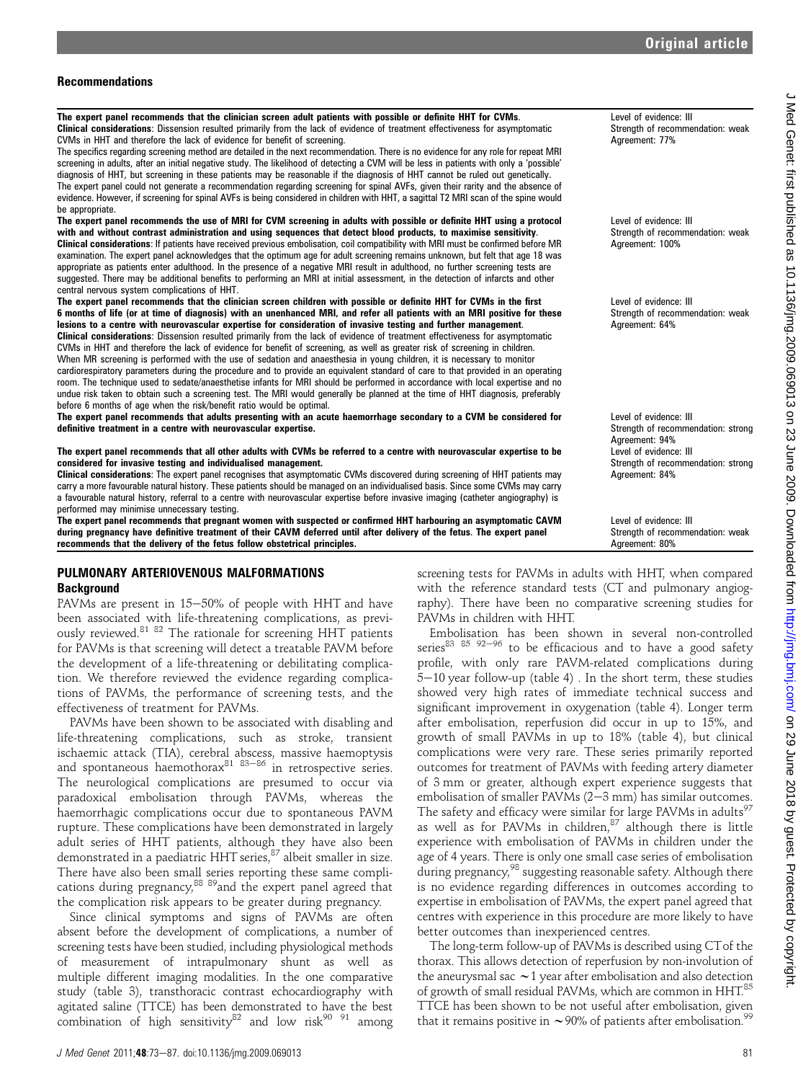### Recommendations

The expert panel recommends that the clinician screen adult patients with possible or definite HHT for CVMs. Clinical considerations: Dissension resulted primarily from the lack of evidence of treatment effectiveness for asymptomatic CVMs in HHT and therefore the lack of evidence for benefit of screening. The specifics regarding screening method are detailed in the next recommendation. There is no evidence for any role for repeat MRI screening in adults, after an initial negative study. The likelihood of detecting a CVM will be less in patients with only a 'possible' diagnosis of HHT, but screening in these patients may be reasonable if the diagnosis of HHT cannot be ruled out genetically. The expert panel could not generate a recommendation regarding screening for spinal AVFs, given their rarity and the absence of evidence. However, if screening for spinal AVFs is being considered in children with HHT, a sagittal T2 MRI scan of the spine would be appropriate. Level of evidence: III Strength of recommendation: weak Agreement: 77% The expert panel recommends the use of MRI for CVM screening in adults with possible or definite HHT using a protocol with and without contrast administration and using sequences that detect blood products, to maximise sensitivity. Clinical considerations: If patients have received previous embolisation, coil compatibility with MRI must be confirmed before MR examination. The expert panel acknowledges that the optimum age for adult screening remains unknown, but felt that age 18 was appropriate as patients enter adulthood. In the presence of a negative MRI result in adulthood, no further screening tests are suggested. There may be additional benefits to performing an MRI at initial assessment, in the detection of infarcts and other central nervous system complications of HHT. Level of evidence: III Strength of recommendation: weak Agreement: 100% The expert panel recommends that the clinician screen children with possible or definite HHT for CVMs in the first 6 months of life (or at time of diagnosis) with an unenhanced MRI, and refer all patients with an MRI positive for these lesions to a centre with neurovascular expertise for consideration of invasive testing and further management. Clinical considerations: Dissension resulted primarily from the lack of evidence of treatment effectiveness for asymptomatic CVMs in HHT and therefore the lack of evidence for benefit of screening, as well as greater risk of screening in children. When MR screening is performed with the use of sedation and anaesthesia in young children, it is necessary to monitor cardiorespiratory parameters during the procedure and to provide an equivalent standard of care to that provided in an operating room. The technique used to sedate/anaesthetise infants for MRI should be performed in accordance with local expertise and no undue risk taken to obtain such a screening test. The MRI would generally be planned at the time of HHT diagnosis, preferably before 6 months of age when the risk/benefit ratio would be optimal. Level of evidence: III Strength of recommendation: weak Agreement: 64% The expert panel recommends that adults presenting with an acute haemorrhage secondary to a CVM be considered for definitive treatment in a centre with neurovascular expertise. Level of evidence: III Strength of recommendation: strong Agreement: 94% The expert panel recommends that all other adults with CVMs be referred to a centre with neurovascular expertise to be considered for invasive testing and individualised management. Clinical considerations: The expert panel recognises that asymptomatic CVMs discovered during screening of HHT patients may carry a more favourable natural history. These patients should be managed on an individualised basis. Since some CVMs may carry a favourable natural history, referral to a centre with neurovascular expertise before invasive imaging (catheter angiography) is performed may minimise unnecessary testing. Level of evidence: III Strength of recommendation: strong Agreement: 84% The expert panel recommends that pregnant women with suspected or confirmed HHT harbouring an asymptomatic CAVM during pregnancy have definitive treatment of their CAVM deferred until after delivery of the fetus. The expert panel recommends that the delivery of the fetus follow obstetrical principles. Level of evidence: III Strength of recommendation: weak Agreement: 80%

# PULMONARY ARTERIOVENOUS MALFORMATIONS **Background**

PAVMs are present in  $15-50%$  of people with HHT and have been associated with life-threatening complications, as previously reviewed.<sup>81</sup> <sup>82</sup> The rationale for screening HHT patients for PAVMs is that screening will detect a treatable PAVM before the development of a life-threatening or debilitating complication. We therefore reviewed the evidence regarding complications of PAVMs, the performance of screening tests, and the effectiveness of treatment for PAVMs.

PAVMs have been shown to be associated with disabling and life-threatening complications, such as stroke, transient ischaemic attack (TIA), cerebral abscess, massive haemoptysis and spontaneous haemothorax<sup>81 83-86</sup> in retrospective series. The neurological complications are presumed to occur via paradoxical embolisation through PAVMs, whereas the haemorrhagic complications occur due to spontaneous PAVM rupture. These complications have been demonstrated in largely adult series of HHT patients, although they have also been demonstrated in a paediatric HHT series,  ${}^{87}$  albeit smaller in size. There have also been small series reporting these same complications during pregnancy, <sup>88 89</sup>and the expert panel agreed that the complication risk appears to be greater during pregnancy.

Since clinical symptoms and signs of PAVMs are often absent before the development of complications, a number of screening tests have been studied, including physiological methods of measurement of intrapulmonary shunt as well as multiple different imaging modalities. In the one comparative study (table 3), transthoracic contrast echocardiography with agitated saline (TTCE) has been demonstrated to have the best combination of high sensitivity<sup>82</sup> and low risk<sup>90 91</sup> among screening tests for PAVMs in adults with HHT, when compared with the reference standard tests (CT and pulmonary angiography). There have been no comparative screening studies for PAVMs in children with HHT.

Embolisation has been shown in several non-controlled series<sup>83 85 92-96</sup> to be efficacious and to have a good safety profile, with only rare PAVM-related complications during  $5-10$  year follow-up (table 4). In the short term, these studies showed very high rates of immediate technical success and significant improvement in oxygenation (table 4). Longer term after embolisation, reperfusion did occur in up to 15%, and growth of small PAVMs in up to 18% (table 4), but clinical complications were very rare. These series primarily reported outcomes for treatment of PAVMs with feeding artery diameter of 3 mm or greater, although expert experience suggests that embolisation of smaller PAVMs  $(2-3$  mm) has similar outcomes. The safety and efficacy were similar for large PAVMs in adults<sup>97</sup> as well as for PAVMs in children, $87$  although there is little experience with embolisation of PAVMs in children under the age of 4 years. There is only one small case series of embolisation during pregnancy,<sup>98</sup> suggesting reasonable safety. Although there is no evidence regarding differences in outcomes according to expertise in embolisation of PAVMs, the expert panel agreed that centres with experience in this procedure are more likely to have better outcomes than inexperienced centres.

The long-term follow-up of PAVMs is described using CTof the thorax. This allows detection of reperfusion by non-involution of the aneurysmal sac  $\sim$  1 year after embolisation and also detection of growth of small residual PAVMs, which are common in HHT.<sup>85</sup> TTCE has been shown to be not useful after embolisation, given that it remains positive in  $\sim$  90% of patients after embolisation.<sup>99</sup>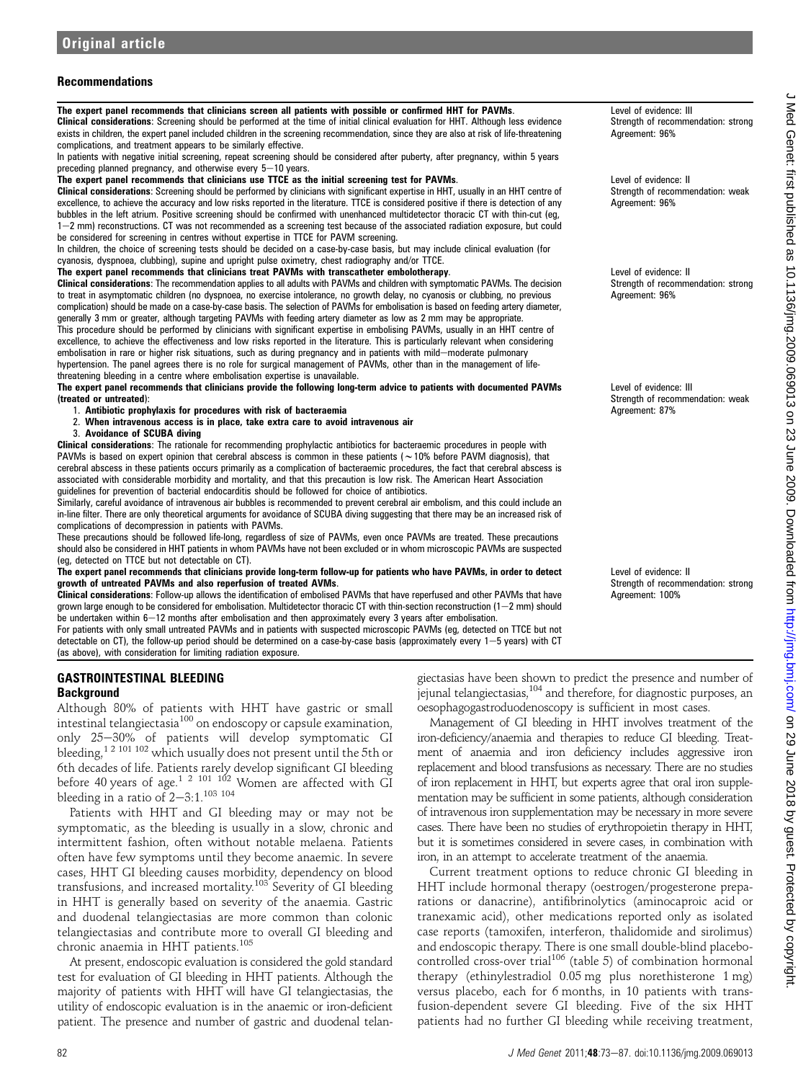# Recommendations

The expert panel recommends that clinicians screen all patients with possible or confirmed HHT for PAVMs. Clinical considerations: Screening should be performed at the time of initial clinical evaluation for HHT. Although less evidence exists in children, the expert panel included children in the screening recommendation, since they are also at risk of life-threatening complications, and treatment appears to be similarly effective.

In patients with negative initial screening, repeat screening should be considered after puberty, after pregnancy, within 5 years preceding planned pregnancy, and otherwise every  $5-10$  years.

### The expert panel recommends that clinicians use TTCE as the initial screening test for PAVMs.

Clinical considerations: Screening should be performed by clinicians with significant expertise in HHT, usually in an HHT centre of excellence, to achieve the accuracy and low risks reported in the literature. TTCE is considered positive if there is detection of any bubbles in the left atrium. Positive screening should be confirmed with unenhanced multidetector thoracic CT with thin-cut (eg, 1-2 mm) reconstructions. CT was not recommended as a screening test because of the associated radiation exposure, but could be considered for screening in centres without expertise in TTCE for PAVM screening.

In children, the choice of screening tests should be decided on a case-by-case basis, but may include clinical evaluation (for cyanosis, dyspnoea, clubbing), supine and upright pulse oximetry, chest radiography and/or TTCE.

### The expert panel recommends that clinicians treat PAVMs with transcatheter embolotherapy.

Clinical considerations: The recommendation applies to all adults with PAVMs and children with symptomatic PAVMs. The decision to treat in asymptomatic children (no dyspnoea, no exercise intolerance, no growth delay, no cyanosis or clubbing, no previous complication) should be made on a case-by-case basis. The selection of PAVMs for embolisation is based on feeding artery diameter, generally 3 mm or greater, although targeting PAVMs with feeding artery diameter as low as 2 mm may be appropriate. This procedure should be performed by clinicians with significant expertise in embolising PAVMs, usually in an HHT centre of excellence, to achieve the effectiveness and low risks reported in the literature. This is particularly relevant when considering embolisation in rare or higher risk situations, such as during pregnancy and in patients with mild-moderate pulmonary

hypertension. The panel agrees there is no role for surgical management of PAVMs, other than in the management of lifethreatening bleeding in a centre where embolisation expertise is unavailable.

The expert panel recommends that clinicians provide the following long-term advice to patients with documented PAVMs (treated or untreated):

- 1. Antibiotic prophylaxis for procedures with risk of bacteraemia
- 2. When intravenous access is in place, take extra care to avoid intravenous air
- 3. Avoidance of SCUBA diving

Clinical considerations: The rationale for recommending prophylactic antibiotics for bacteraemic procedures in people with PAVMs is based on expert opinion that cerebral abscess is common in these patients ( $\sim$ 10% before PAVM diagnosis), that cerebral abscess in these patients occurs primarily as a complication of bacteraemic procedures, the fact that cerebral abscess is associated with considerable morbidity and mortality, and that this precaution is low risk. The American Heart Association guidelines for prevention of bacterial endocarditis should be followed for choice of antibiotics.

Similarly, careful avoidance of intravenous air bubbles is recommended to prevent cerebral air embolism, and this could include an in-line filter. There are only theoretical arguments for avoidance of SCUBA diving suggesting that there may be an increased risk of complications of decompression in patients with PAVMs.

These precautions should be followed life-long, regardless of size of PAVMs, even once PAVMs are treated. These precautions should also be considered in HHT patients in whom PAVMs have not been excluded or in whom microscopic PAVMs are suspected (eg, detected on TTCE but not detectable on CT).

The expert panel recommends that clinicians provide long-term follow-up for patients who have PAVMs, in order to detect growth of untreated PAVMs and also reperfusion of treated AVMs.

Clinical considerations: Follow-up allows the identification of embolised PAVMs that have reperfused and other PAVMs that have grown large enough to be considered for embolisation. Multidetector thoracic CT with thin-section reconstruction (1–2 mm) should be undertaken within 6-12 months after embolisation and then approximately every 3 years after embolisation.

For patients with only small untreated PAVMs and in patients with suspected microscopic PAVMs (eg, detected on TTCE but not detectable on CT), the follow-up period should be determined on a case-by-case basis (approximately every  $1-5$  years) with CT (as above), with consideration for limiting radiation exposure.

# GASTROINTESTINAL BLEEDING **Background**

Although 80% of patients with HHT have gastric or small intestinal telangiectasia<sup>100</sup> on endoscopy or capsule examination, only 25-30% of patients will develop symptomatic GI bleeding,<sup>1 2 101 102</sup> which usually does not present until the 5th or 6th decades of life. Patients rarely develop significant GI bleeding before 40 years of age.<sup>1 2 101 102</sup> Women are affected with GI bleeding in a ratio of  $2-3:1.^{103}$  104

Patients with HHT and GI bleeding may or may not be symptomatic, as the bleeding is usually in a slow, chronic and intermittent fashion, often without notable melaena. Patients often have few symptoms until they become anaemic. In severe cases, HHT GI bleeding causes morbidity, dependency on blood transfusions, and increased mortality.<sup>103</sup> Severity of GI bleeding in HHT is generally based on severity of the anaemia. Gastric and duodenal telangiectasias are more common than colonic telangiectasias and contribute more to overall GI bleeding and chronic anaemia in HHT patients.<sup>105</sup>

At present, endoscopic evaluation is considered the gold standard test for evaluation of GI bleeding in HHT patients. Although the majority of patients with HHT will have GI telangiectasias, the utility of endoscopic evaluation is in the anaemic or iron-deficient patient. The presence and number of gastric and duodenal telangiectasias have been shown to predict the presence and number of jejunal telangiectasias,104 and therefore, for diagnostic purposes, an oesophagogastroduodenoscopy is sufficient in most cases.

Management of GI bleeding in HHT involves treatment of the iron-deficiency/anaemia and therapies to reduce GI bleeding. Treatment of anaemia and iron deficiency includes aggressive iron replacement and blood transfusions as necessary. There are no studies of iron replacement in HHT, but experts agree that oral iron supplementation may be sufficient in some patients, although consideration of intravenous iron supplementation may be necessary in more severe cases. There have been no studies of erythropoietin therapy in HHT, but it is sometimes considered in severe cases, in combination with iron, in an attempt to accelerate treatment of the anaemia.

Current treatment options to reduce chronic GI bleeding in HHT include hormonal therapy (oestrogen/progesterone preparations or danacrine), antifibrinolytics (aminocaproic acid or tranexamic acid), other medications reported only as isolated case reports (tamoxifen, interferon, thalidomide and sirolimus) and endoscopic therapy. There is one small double-blind placebocontrolled cross-over trial<sup>106</sup> (table 5) of combination hormonal therapy (ethinylestradiol 0.05 mg plus norethisterone 1 mg) versus placebo, each for 6 months, in 10 patients with transfusion-dependent severe GI bleeding. Five of the six HHT patients had no further GI bleeding while receiving treatment,

Level of evidence: III Strength of recommendation: strong Agreement: 96%

Level of evidence: II Strength of recommendation: weak Agreement: 96%

Level of evidence: II Strength of recommendation: strong Agreement: 96%

Level of evidence: III Strength of recommendation: weak Agreement: 87%

Level of evidence: II Strength of recommendation: strong Agreement: 100%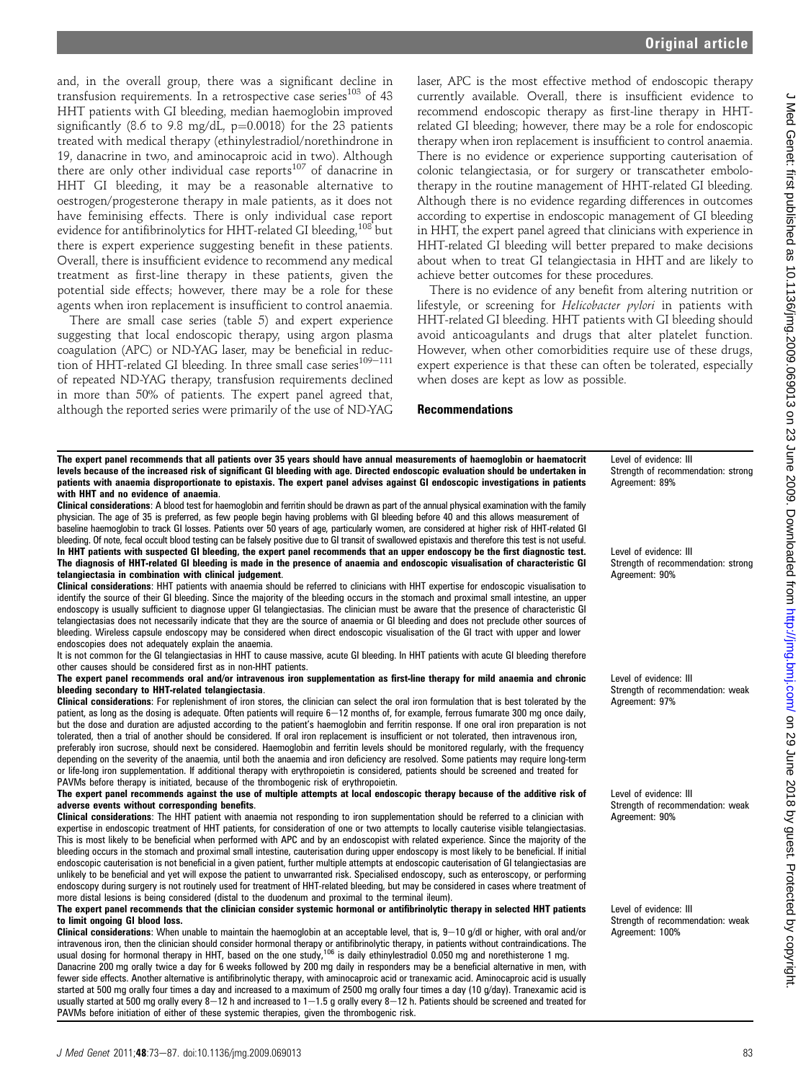and, in the overall group, there was a significant decline in transfusion requirements. In a retrospective case series $103$  of 43 HHT patients with GI bleeding, median haemoglobin improved significantly (8.6 to 9.8 mg/dL,  $p=0.0018$ ) for the 23 patients treated with medical therapy (ethinylestradiol/norethindrone in 19, danacrine in two, and aminocaproic acid in two). Although there are only other individual case reports $107$  of danacrine in HHT GI bleeding, it may be a reasonable alternative to oestrogen/progesterone therapy in male patients, as it does not have feminising effects. There is only individual case report evidence for antifibrinolytics for HHT-related GI bleeding.<sup>108</sup> but there is expert experience suggesting benefit in these patients. Overall, there is insufficient evidence to recommend any medical treatment as first-line therapy in these patients, given the potential side effects; however, there may be a role for these agents when iron replacement is insufficient to control anaemia.

There are small case series (table 5) and expert experience suggesting that local endoscopic therapy, using argon plasma coagulation (APC) or ND-YAG laser, may be beneficial in reduction of HHT-related GI bleeding. In three small case series $109-111$ of repeated ND-YAG therapy, transfusion requirements declined in more than 50% of patients. The expert panel agreed that, although the reported series were primarily of the use of ND-YAG laser, APC is the most effective method of endoscopic therapy currently available. Overall, there is insufficient evidence to recommend endoscopic therapy as first-line therapy in HHTrelated GI bleeding; however, there may be a role for endoscopic therapy when iron replacement is insufficient to control anaemia. There is no evidence or experience supporting cauterisation of colonic telangiectasia, or for surgery or transcatheter embolotherapy in the routine management of HHT-related GI bleeding. Although there is no evidence regarding differences in outcomes according to expertise in endoscopic management of GI bleeding in HHT, the expert panel agreed that clinicians with experience in HHT-related GI bleeding will better prepared to make decisions about when to treat GI telangiectasia in HHT and are likely to achieve better outcomes for these procedures.

There is no evidence of any benefit from altering nutrition or lifestyle, or screening for Helicobacter pylori in patients with HHT-related GI bleeding. HHT patients with GI bleeding should avoid anticoagulants and drugs that alter platelet function. However, when other comorbidities require use of these drugs, expert experience is that these can often be tolerated, especially when doses are kept as low as possible.

### Recommendations

The expert panel recommends that all patients over 35 years should have annual measurements of haemoglobin or haematocrit levels because of the increased risk of significant GI bleeding with age. Directed endoscopic evaluation should be undertaken in patients with anaemia disproportionate to epistaxis. The expert panel advises against GI endoscopic investigations in patients with HHT and no evidence of anaemia.

Clinical considerations: A blood test for haemoglobin and ferritin should be drawn as part of the annual physical examination with the family physician. The age of 35 is preferred, as few people begin having problems with GI bleeding before 40 and this allows measurement of baseline haemoglobin to track GI losses. Patients over 50 years of age, particularly women, are considered at higher risk of HHT-related GI bleeding. Of note, fecal occult blood testing can be falsely positive due to GI transit of swallowed epistaxis and therefore this test is not useful. In HHT patients with suspected GI bleeding, the expert panel recommends that an upper endoscopy be the first diagnostic test. The diagnosis of HHT-related GI bleeding is made in the presence of anaemia and endoscopic visualisation of characteristic GI telangiectasia in combination with clinical judgement.

Clinical considerations: HHT patients with anaemia should be referred to clinicians with HHT expertise for endoscopic visualisation to identify the source of their GI bleeding. Since the majority of the bleeding occurs in the stomach and proximal small intestine, an upper endoscopy is usually sufficient to diagnose upper GI telangiectasias. The clinician must be aware that the presence of characteristic GI telangiectasias does not necessarily indicate that they are the source of anaemia or GI bleeding and does not preclude other sources of bleeding. Wireless capsule endoscopy may be considered when direct endoscopic visualisation of the GI tract with upper and lower endoscopies does not adequately explain the anaemia.

It is not common for the GI telangiectasias in HHT to cause massive, acute GI bleeding. In HHT patients with acute GI bleeding therefore other causes should be considered first as in non-HHT patients.

The expert panel recommends oral and/or intravenous iron supplementation as first-line therapy for mild anaemia and chronic bleeding secondary to HHT-related telangiectasia.

Clinical considerations: For replenishment of iron stores, the clinician can select the oral iron formulation that is best tolerated by the patient, as long as the dosing is adequate. Often patients will require 6-12 months of, for example, ferrous fumarate 300 mg once daily, but the dose and duration are adjusted according to the patient's haemoglobin and ferritin response. If one oral iron preparation is not tolerated, then a trial of another should be considered. If oral iron replacement is insufficient or not tolerated, then intravenous iron, preferably iron sucrose, should next be considered. Haemoglobin and ferritin levels should be monitored regularly, with the frequency depending on the severity of the anaemia, until both the anaemia and iron deficiency are resolved. Some patients may require long-term or life-long iron supplementation. If additional therapy with erythropoietin is considered, patients should be screened and treated for PAVMs before therapy is initiated, because of the thrombogenic risk of erythropoietin.

#### The expert panel recommends against the use of multiple attempts at local endoscopic therapy because of the additive risk of adverse events without corresponding benefits.

Clinical considerations: The HHT patient with anaemia not responding to iron supplementation should be referred to a clinician with expertise in endoscopic treatment of HHT patients, for consideration of one or two attempts to locally cauterise visible telangiectasias. This is most likely to be beneficial when performed with APC and by an endoscopist with related experience. Since the majority of the bleeding occurs in the stomach and proximal small intestine, cauterisation during upper endoscopy is most likely to be beneficial. If initial endoscopic cauterisation is not beneficial in a given patient, further multiple attempts at endoscopic cauterisation of GI telangiectasias are unlikely to be beneficial and yet will expose the patient to unwarranted risk. Specialised endoscopy, such as enteroscopy, or performing endoscopy during surgery is not routinely used for treatment of HHT-related bleeding, but may be considered in cases where treatment of more distal lesions is being considered (distal to the duodenum and proximal to the terminal ileum).

### The expert panel recommends that the clinician consider systemic hormonal or antifibrinolytic therapy in selected HHT patients to limit ongoing GI blood loss.

Clinical considerations: When unable to maintain the haemoglobin at an acceptable level, that is,  $9-10$  g/dl or higher, with oral and/or intravenous iron, then the clinician should consider hormonal therapy or antifibrinolytic therapy, in patients without contraindications. The<br>usual dosing for hormonal therapy in HHT, based on the one study,<sup>106</sup> is daily

Danacrine 200 mg orally twice a day for 6 weeks followed by 200 mg daily in responders may be a beneficial alternative in men, with fewer side effects. Another alternative is antifibrinolytic therapy, with aminocaproic acid or tranexamic acid. Aminocaproic acid is usually started at 500 mg orally four times a day and increased to a maximum of 2500 mg orally four times a day (10 g/day). Tranexamic acid is usually started at 500 mg orally every 8-12 h and increased to  $1-1.5$  g orally every 8-12 h. Patients should be screened and treated for PAVMs before initiation of either of these systemic therapies, given the thrombogenic risk.

Level of evidence: III Strength of recommendation: strong Agreement: 89%

Level of evidence: III Strength of recommendation: strong Agreement: 90%

Level of evidence: III Strength of recommendation: weak Agreement: 97%

Level of evidence: III Strength of recommendation: weak Agreement: 90%

Level of evidence: III Strength of recommendation: weak Agreement: 100%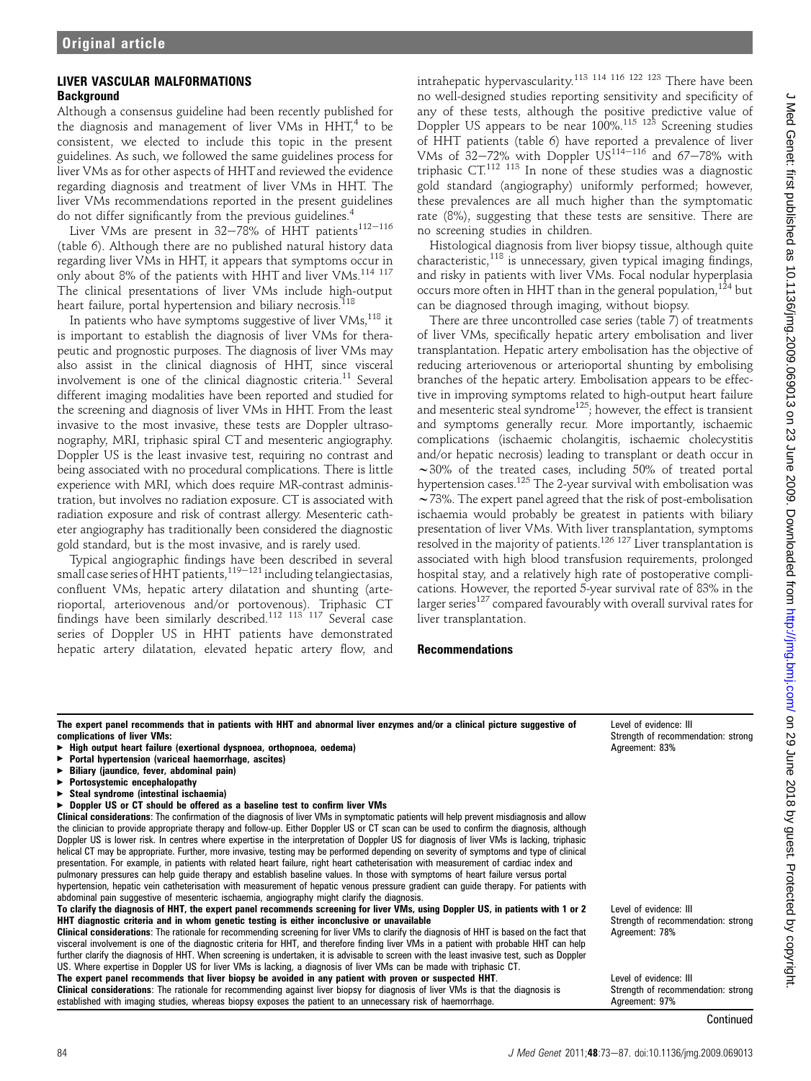# LIVER VASCULAR MALFORMATIONS **Background**

Although a consensus guideline had been recently published for the diagnosis and management of liver VMs in  $HHT<sup>4</sup>$  to be consistent, we elected to include this topic in the present guidelines. As such, we followed the same guidelines process for liver VMs as for other aspects of HHT and reviewed the evidence regarding diagnosis and treatment of liver VMs in HHT. The liver VMs recommendations reported in the present guidelines do not differ significantly from the previous guidelines.<sup>4</sup>

Liver VMs are present in  $32-78\%$  of HHT patients<sup>112-116</sup> (table 6). Although there are no published natural history data regarding liver VMs in HHT, it appears that symptoms occur in only about 8% of the patients with HHT and liver VMs.<sup>114 117</sup> The clinical presentations of liver VMs include high-output heart failure, portal hypertension and biliary necrosis.<sup>118</sup>

In patients who have symptoms suggestive of liver VMs,<sup>118</sup> it is important to establish the diagnosis of liver VMs for therapeutic and prognostic purposes. The diagnosis of liver VMs may also assist in the clinical diagnosis of HHT, since visceral involvement is one of the clinical diagnostic criteria.11 Several different imaging modalities have been reported and studied for the screening and diagnosis of liver VMs in HHT. From the least invasive to the most invasive, these tests are Doppler ultrasonography, MRI, triphasic spiral CT and mesenteric angiography. Doppler US is the least invasive test, requiring no contrast and being associated with no procedural complications. There is little experience with MRI, which does require MR-contrast administration, but involves no radiation exposure. CT is associated with radiation exposure and risk of contrast allergy. Mesenteric catheter angiography has traditionally been considered the diagnostic gold standard, but is the most invasive, and is rarely used.

Typical angiographic findings have been described in several small case series of HHT patients, $^{119-121}$  including telangiectasias, confluent VMs, hepatic artery dilatation and shunting (arterioportal, arteriovenous and/or portovenous). Triphasic CT findings have been similarly described.112 113 117 Several case series of Doppler US in HHT patients have demonstrated hepatic artery dilatation, elevated hepatic artery flow, and intrahepatic hypervascularity.113 114 116 122 123 There have been no well-designed studies reporting sensitivity and specificity of any of these tests, although the positive predictive value of Doppler US appears to be near 100%.<sup>115 123</sup> Screening studies of HHT patients (table 6) have reported a prevalence of liver VMs of  $32-72\%$  with Doppler US<sup>114–116</sup> and 67–78% with triphasic CT.112 113 In none of these studies was a diagnostic gold standard (angiography) uniformly performed; however, these prevalences are all much higher than the symptomatic rate (8%), suggesting that these tests are sensitive. There are no screening studies in children.

Histological diagnosis from liver biopsy tissue, although quite characteristic, $118$  is unnecessary, given typical imaging findings, and risky in patients with liver VMs. Focal nodular hyperplasia occurs more often in HHT than in the general population,  $124$  but can be diagnosed through imaging, without biopsy.

There are three uncontrolled case series (table 7) of treatments of liver VMs, specifically hepatic artery embolisation and liver transplantation. Hepatic artery embolisation has the objective of reducing arteriovenous or arterioportal shunting by embolising branches of the hepatic artery. Embolisation appears to be effective in improving symptoms related to high-output heart failure and mesenteric steal syndrome<sup>125</sup>; however, the effect is transient and symptoms generally recur. More importantly, ischaemic complications (ischaemic cholangitis, ischaemic cholecystitis and/or hepatic necrosis) leading to transplant or death occur in  $\sim$ 30% of the treated cases, including 50% of treated portal hypertension cases.125 The 2-year survival with embolisation was  $\sim$  73%. The expert panel agreed that the risk of post-embolisation ischaemia would probably be greatest in patients with biliary presentation of liver VMs. With liver transplantation, symptoms resolved in the majority of patients.126 127 Liver transplantation is associated with high blood transfusion requirements, prolonged hospital stay, and a relatively high rate of postoperative complications. However, the reported 5-year survival rate of 83% in the larger series<sup>127</sup> compared favourably with overall survival rates for liver transplantation.

# Recommendations

| The expert panel recommends that in patients with HHT and abnormal liver enzymes and/or a clinical picture suggestive of<br>complications of liver VMs:<br>High output heart failure (exertional dyspnoea, orthopnoea, oedema) | Level of evidence: III<br>Strength of recommend<br>Agreement: 83% |
|--------------------------------------------------------------------------------------------------------------------------------------------------------------------------------------------------------------------------------|-------------------------------------------------------------------|
| ► Portal hypertension (variceal haemorrhage, ascites)                                                                                                                                                                          |                                                                   |
| Biliary (jaundice, fever, abdominal pain)                                                                                                                                                                                      |                                                                   |
| ▶ Portosystemic encephalopathy                                                                                                                                                                                                 |                                                                   |
| $\triangleright$ Steal syndrome (intestinal ischaemia)                                                                                                                                                                         |                                                                   |
| ► Doppler US or CT should be offered as a baseline test to confirm liver VMs                                                                                                                                                   |                                                                   |
| <b>Clinical considerations</b> : The confirmation of the diagnosis of liver VMs in symptomatic patients will help prevent misdiagnosis and allow                                                                               |                                                                   |
| the clinician to provide appropriate therapy and follow-up. Either Doppler US or CT scan can be used to confirm the diagnosis, although                                                                                        |                                                                   |
| Doppler US is lower risk. In centres where expertise in the interpretation of Doppler US for diagnosis of liver VMs is lacking, triphasic                                                                                      |                                                                   |
| helical CT may be appropriate. Further, more invasive, testing may be performed depending on severity of symptoms and type of clinical                                                                                         |                                                                   |
| presentation. For example, in patients with related heart failure, right heart catheterisation with measurement of cardiac index and                                                                                           |                                                                   |
| pulmonary pressures can help guide therapy and establish baseline values. In those with symptoms of heart failure versus portal                                                                                                |                                                                   |
| hypertension, hepatic vein catheterisation with measurement of hepatic venous pressure gradient can quide therapy. For patients with                                                                                           |                                                                   |
| abdominal pain suggestive of mesenteric ischaemia, angiography might clarify the diagnosis.                                                                                                                                    |                                                                   |
| To clarify the diagnosis of HHT, the expert panel recommends screening for liver VMs, using Doppler US, in patients with 1 or 2                                                                                                | Level of evidence: III                                            |
| HHT diagnostic criteria and in whom genetic testing is either inconclusive or unavailable                                                                                                                                      | Strength of recommend                                             |
| <b>Clinical considerations</b> : The rationale for recommending screening for liver VMs to clarify the diagnosis of HHT is based on the fact that                                                                              | Agreement: 78%                                                    |
| visceral involvement is one of the diagnostic criteria for HHT, and therefore finding liver VMs in a patient with probable HHT can help                                                                                        |                                                                   |
| further clarify the diagnosis of HHT. When screening is undertaken, it is advisable to screen with the least invasive test, such as Doppler                                                                                    |                                                                   |
| US. Where expertise in Doppler US for liver VMs is lacking, a diagnosis of liver VMs can be made with triphasic CT.                                                                                                            |                                                                   |
| The expert panel recommends that liver biopsy be avoided in any patient with proven or suspected HHT.                                                                                                                          | Level of evidence: III                                            |
| <b>Clinical considerations</b> : The rationale for recommending against liver biopsy for diagnosis of liver VMs is that the diagnosis is                                                                                       | Strength of recommend                                             |
| established with imaging studies, whereas biopsy exposes the patient to an unnecessary risk of haemorrhage.                                                                                                                    | Agreement: 97%                                                    |
|                                                                                                                                                                                                                                |                                                                   |

**Continued**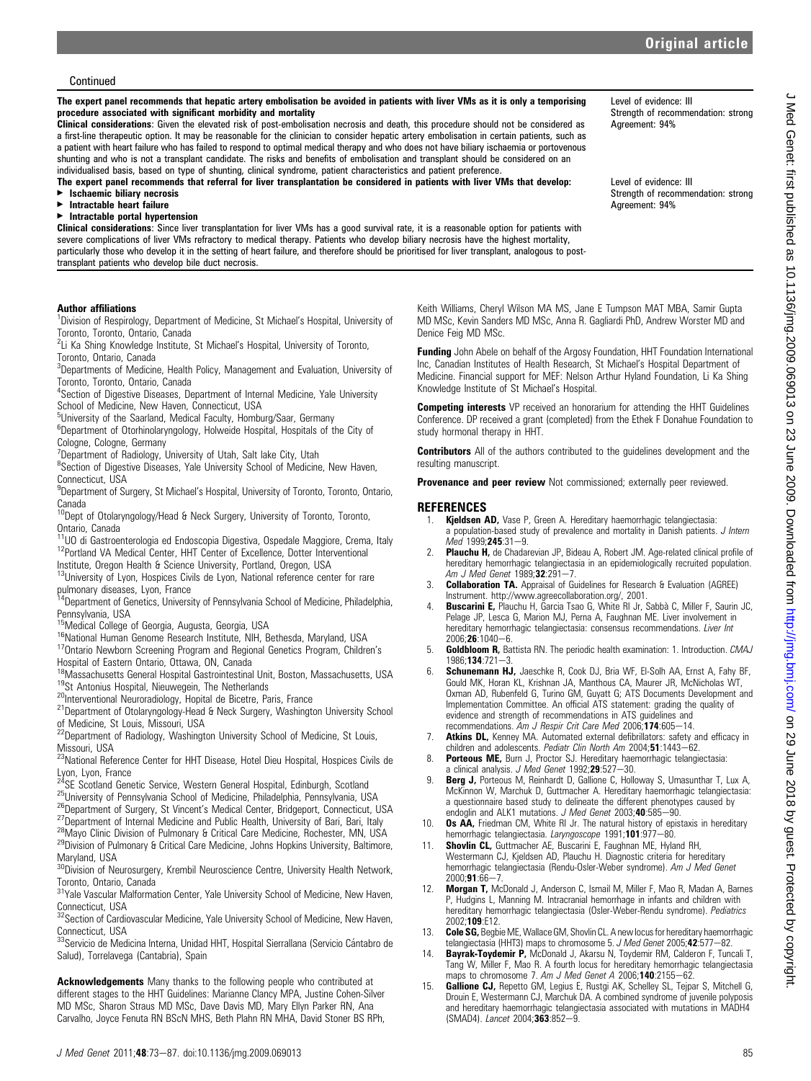### Continued

The expert panel recommends that hepatic artery embolisation be avoided in patients with liver VMs as it is only a temporising procedure associated with significant morbidity and mortality

Clinical considerations: Given the elevated risk of post-embolisation necrosis and death, this procedure should not be considered as a first-line therapeutic option. It may be reasonable for the clinician to consider hepatic artery embolisation in certain patients, such as a patient with heart failure who has failed to respond to optimal medical therapy and who does not have biliary ischaemia or portovenous shunting and who is not a transplant candidate. The risks and benefits of embolisation and transplant should be considered on an individualised basis, based on type of shunting, clinical syndrome, patient characteristics and patient preference.

The expert panel recommends that referral for liver transplantation be considered in patients with liver VMs that develop:

- $\blacktriangleright$  Ischaemic biliary necrosis
- < Intractable heart failure
- < Intractable portal hypertension

Clinical considerations: Since liver transplantation for liver VMs has a good survival rate, it is a reasonable option for patients with severe complications of liver VMs refractory to medical therapy. Patients who develop biliary necrosis have the highest mortality, particularly those who develop it in the setting of heart failure, and therefore should be prioritised for liver transplant, analogous to posttransplant patients who develop bile duct necrosis.

### Author affiliations

<sup>1</sup> Division of Respirology, Department of Medicine, St Michael's Hospital, University of Toronto, Toronto, Ontario, Canada

<sup>2</sup>Li Ka Shing Knowledge Institute, St Michael's Hospital, University of Toronto, Toronto, Ontario, Canada

<sup>3</sup>Departments of Medicine, Health Policy, Management and Evaluation, University of Toronto, Toronto, Ontario, Canada

<sup>4</sup>Section of Digestive Diseases, Department of Internal Medicine, Yale University School of Medicine, New Haven, Connecticut, USA

<sup>5</sup>University of the Saarland, Medical Faculty, Homburg/Saar, Germany

<sup>6</sup>Department of Otorhinolaryngology, Holweide Hospital, Hospitals of the City of Cologne, Cologne, Germany

<sup>7</sup>Department of Radiology, University of Utah, Salt lake City, Utah

<sup>8</sup>Section of Digestive Diseases, Yale University School of Medicine, New Haven, Connecticut, USA

<sup>9</sup>Department of Surgery, St Michael's Hospital, University of Toronto, Toronto, Ontario, Canada

<sup>10</sup>Dept of Otolaryngology/Head & Neck Surgery, University of Toronto, Toronto,

Ontario, Canada<br><sup>11</sup>UO di Gastroenterologia ed Endoscopia Digestiva, Ospedale Maggiore, Crema, Italy <sup>12</sup>Portland VA Medical Center, HHT Center of Excellence, Dotter Interventional

Institute, Oregon Health & Science University, Portland, Oregon, USA

<sup>13</sup>University of Lyon, Hospices Civils de Lyon, National reference center for rare

pulmonary diseases, Lyon, France<br><sup>14</sup>Department of Genetics, University of Pennsylvania School of Medicine, Philadelphia,

Pennsylvania, USA<br><sup>15</sup>Medical College of Georgia, Augusta, Georgia, USA

<sup>16</sup>National Human Genome Research Institute, NIH, Bethesda, Maryland, USA <sup>17</sup>Ontario Newborn Screening Program and Regional Genetics Program, Children's Hospital of Eastern Ontario, Ottawa, ON, Canada<br><sup>18</sup>Massachusetts General Hospital Gastrointestinal Unit, Boston, Massachusetts, USA

<sup>19</sup>St Antonius Hospital, Nieuwegein, The Netherlands<br><sup>20</sup>Interventional Neuroradiology, Hopital de Bicetre, Paris, France<br><sup>21</sup>Department of Otolaryngology-Head & Neck Surgery, Washington University School of Medicine, St Louis, Missouri, USA

<sup>22</sup>Department of Radiology, Washington University School of Medicine, St Louis, Missouri, USA

<sup>23</sup>National Reference Center for HHT Disease, Hotel Dieu Hospital, Hospices Civils de

Lyon, Lyon, France<br><sup>24</sup>SE Scotland Genetic Service, Western General Hospital, Edinburgh, Scotland<br><sup>25</sup>University of Pennsylvania School of Medicine, Philadelphia, Pennsylvania, USA<br><sup>26</sup>Department of Surgery, St Vincent's M Maryland, USA

<sup>30</sup>Division of Neurosurgery, Krembil Neuroscience Centre, University Health Network, Toronto, Ontario, Canada

<sup>31</sup>Yale Vascular Malformation Center, Yale University School of Medicine, New Haven,

Connecticut, USA<br><sup>32</sup>Section of Cardiovascular Medicine, Yale University School of Medicine, New Haven,

Connecticut, USA<br><sup>33</sup>Servicio de Medicina Interna, Unidad HHT, Hospital Sierrallana (Servicio Cántabro de Salud), Torrelavega (Cantabria), Spain

Acknowledgements Many thanks to the following people who contributed at different stages to the HHT Guidelines: Marianne Clancy MPA, Justine Cohen-Silver MD MSc, Sharon Straus MD MSc, Dave Davis MD, Mary Ellyn Parker RN, Ana Carvalho, Joyce Fenuta RN BScN MHS, Beth Plahn RN MHA, David Stoner BS RPh,

Keith Williams, Cheryl Wilson MA MS, Jane E Tumpson MAT MBA, Samir Gupta MD MSc, Kevin Sanders MD MSc, Anna R. Gagliardi PhD, Andrew Worster MD and Denice Feig MD MSc.

Funding John Abele on behalf of the Argosy Foundation, HHT Foundation International Inc, Canadian Institutes of Health Research, St Michael's Hospital Department of Medicine. Financial support for MEF: Nelson Arthur Hyland Foundation, Li Ka Shing Knowledge Institute of St Michael's Hospital.

**Competing interests** VP received an honorarium for attending the HHT Guidelines Conference. DP received a grant (completed) from the Ethek F Donahue Foundation to study hormonal therapy in HHT.

**Contributors** All of the authors contributed to the guidelines development and the resulting manuscript.

Provenance and peer review Not commissioned; externally peer reviewed.

### **REFERENCES**

- 1. Kieldsen AD, Vase P, Green A. Hereditary haemorrhagic telangiectasia: a population-based study of prevalence and mortality in Danish patients. J Intern  $Med$  1999; 245:31-9.
- 2. Plauchu H, de Chadarevian JP, Bideau A, Robert JM. Age-related clinical profile of hereditary hemorrhagic telangiectasia in an epidemiologically recruited population. Am J Med Genet  $1989.32.291 - 7$ .
- 3. Collaboration TA. Appraisal of Guidelines for Research & Evaluation (AGREE) Instrument. http://www.agreecollaboration.org/, 2001.
- 4. Buscarini E, Plauchu H, Garcia Tsao G, White RI Jr, Sabbà C, Miller F, Saurin JC, Pelage JP, Lesca G, Marion MJ, Perna A, Faughnan ME. Liver involvement in hereditary hemorrhagic telangiectasia: consensus recommendations. Liver Int  $2006:26:1040 - 6.$
- 5. **Goldbloom R,** Battista RN. The periodic health examination: 1. Introduction. *CMAJ* 1986:134:721-3
- 6. Schunemann HJ, Jaeschke R, Cook DJ, Bria WF, El-Solh AA, Ernst A, Fahy BF, Gould MK, Horan KL, Krishnan JA, Manthous CA, Maurer JR, McNicholas WT, Oxman AD, Rubenfeld G, Turino GM, Guyatt G; ATS Documents Development and Implementation Committee. An official ATS statement: grading the quality of evidence and strength of recommendations in ATS guidelines and recommendations. Am J Respir Crit Care Med 2006;174:605-14.
- 7. **Atkins DL,** Kenney MA. Automated external defibrillators: safety and efficacy in children and adolescents. Pediatr Clin North Am  $2004:51:1443-62$ .
- 8. **Porteous ME,** Burn J, Proctor SJ. Hereditary haemorrhagic telangiectasia:<br>a clinical analysis. J Med Genet 1992;29:527-30.
- 9. Berg J, Porteous M, Reinhardt D, Gallione C, Holloway S, Umasunthar T, Lux A, McKinnon W, Marchuk D, Guttmacher A. Hereditary haemorrhagic telangiectasia: a questionnaire based study to delineate the different phenotypes caused by endoglin and ALK1 mutations. J Med Genet 2003;40:585-90.
- 10. Os AA, Friedman CM, White RI Jr. The natural history of epistaxis in hereditary hemorrhagic telangiectasia. Laryngoscope 1991;101:977-80.
- 11. Shovlin CL, Guttmacher AE, Buscarini E, Faughnan ME, Hyland RH, Westermann CJ, Kjeldsen AD, Plauchu H. Diagnostic criteria for hereditary hemorrhagic telangiectasia (Rendu-Osler-Weber syndrome). Am J Med Genet  $2000:91:66 - 7$
- 12. Morgan T, McDonald J, Anderson C, Ismail M, Miller F, Mao R, Madan A, Barnes P, Hudgins L, Manning M. Intracranial hemorrhage in infants and children with hereditary hemorrhagic telangiectasia (Osler-Weber-Rendu syndrome). Pediatrics 2002;109:E12.
- 13. Cole SG, Begbie ME, Wallace GM, Shovlin CL. A new locus for hereditary haemorrhagic telangiectasia (HHT3) maps to chromosome 5. J Med Genet 2005;42:577-82.
- 14. Bayrak-Toydemir P, McDonald J, Akarsu N, Toydemir RM, Calderon F, Tuncali T, Tang W, Miller F, Mao R. A fourth locus for hereditary hemorrhagic telangiectasia maps to chromosome 7. Am J Med Genet A 2006;140:2155-62.
- 15. Gallione CJ, Repetto GM, Legius E, Rustgi AK, Schelley SL, Tejpar S, Mitchell G, Drouin E, Westermann CJ, Marchuk DA. A combined syndrome of juvenile polyposis and hereditary haemorrhagic telangiectasia associated with mutations in MADH4 (SMAD4). Lancet 2004;363:852-9.

Level of evidence: III Strength of recommendation: strong Agreement: 94%

Level of evidence: III Strength of recommendation: strong Agreement: 94%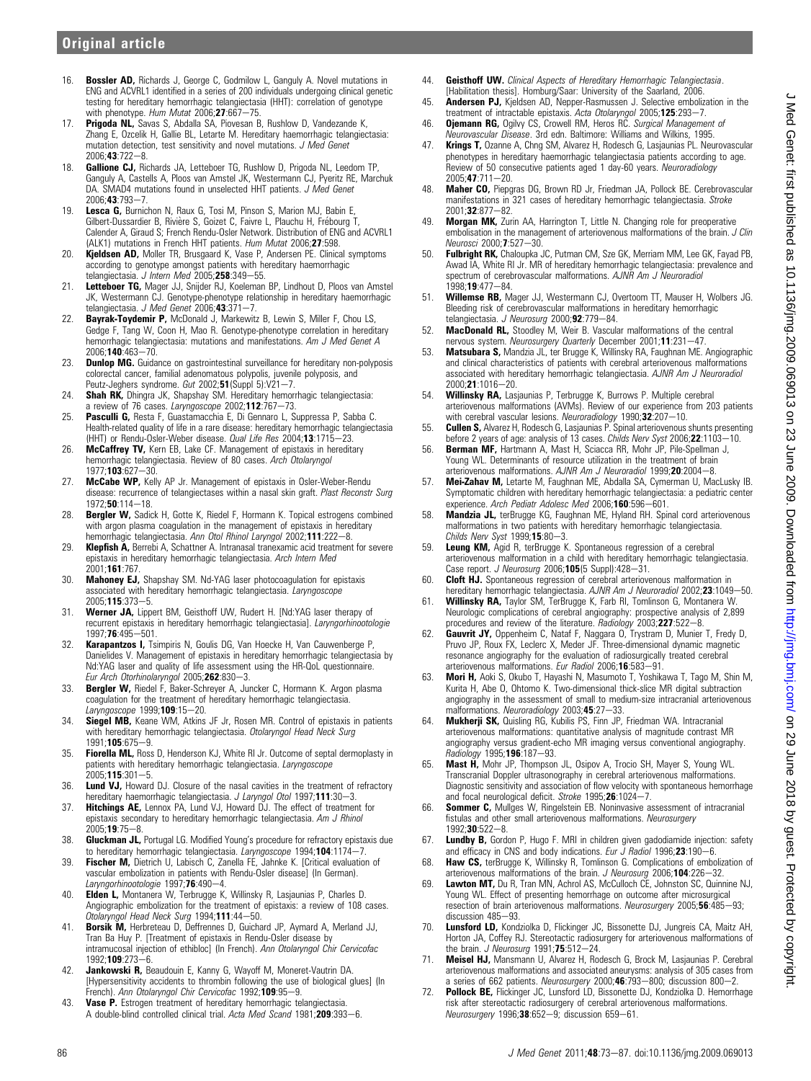- 16. **Bossler AD,** Richards J, George C, Godmilow L, Ganguly A, Novel mutations in ENG and ACVRL1 identified in a series of 200 individuals undergoing clinical genetic testing for hereditary hemorrhagic telangiectasia (HHT): correlation of genotype<br>with phenotype*. Hum Mutat 2*006;**27**:667—75.
- 17. Prigoda NL, Savas S, Abdalla SA, Piovesan B, Rushlow D, Vandezande K, Zhang E, Ozcelik H, Gallie BL, Letarte M. Hereditary haemorrhagic telangiectasia: mutation detection, test sensitivity and novel mutations. J Med Genet  $2006:43:722-8.$
- 18. **Gallione CJ,** Richards JA, Letteboer TG, Rushlow D, Prigoda NL, Leedom TP, Ganguly A, Castells A, Ploos van Amstel JK, Westermann CJ, Pyeritz RE, Marchuk DA. SMAD4 mutations found in unselected HHT patients. J Med Genet 2006;43:793-7
- 19. Lesca G, Burnichon N, Raux G, Tosi M, Pinson S, Marion MJ, Babin E, Gilbert-Dussardier B, Rivière S, Goizet C, Faivre L, Plauchu H, Frébourg T,<br>Calender A, Giraud S; French Rendu-Osler Network. Distribution of ENG and ACVRL1 (ALK1) mutations in French HHT patients. Hum Mutat 2006;27:598.
- 20. Kjeldsen AD, Moller TR, Brusgaard K, Vase P, Andersen PE. Clinical symptoms according to genotype amongst patients with hereditary haemorrhagic telangiectasia. J Intern Med 2005;258:349-55.
- 21. Letteboer TG, Mager JJ, Snijder RJ, Koeleman BP, Lindhout D, Ploos van Amstel JK, Westermann CJ. Genotype-phenotype relationship in hereditary haemorrhagic telangiectasia. J Med Genet 2006;43:371-7.
- 22. Bayrak-Toydemir P, McDonald J, Markewitz B, Lewin S, Miller F, Chou LS, Gedge F, Tang W, Coon H, Mao R. Genotype-phenotype correlation in hereditary hemorrhagic telangiectasia: mutations and manifestations. Am J Med Genet A 2006:140:463-70.
- 23. **Dunlop MG.** Guidance on gastrointestinal surveillance for hereditary non-polyposis colorectal cancer, familial adenomatous polypolis, juvenile polyposis, and Peutz-Jeghers syndrome. Gut 2002;51 (Suppl 5): $V21-7$ .
- 24. Shah RK, Dhingra JK, Shapshay SM. Hereditary hemorrhagic telangiectasia: a review of 76 cases. Laryngoscope 2002;112:767-73.
- 25. Pasculli G, Resta F, Guastamacchia E, Di Gennaro L, Suppressa P, Sabba C. Health-related quality of life in a rare disease: hereditary hemorrhagic telangiectasia (HHT) or Rendu-Osler-Weber disease. Qual Life Res  $2004$ ; 13:1715-23.
- 26. McCaffrey TV, Kern EB, Lake CF. Management of epistaxis in hereditary hemorrhagic telangiectasia. Review of 80 cases. Arch Otolaryngol 1977;103:627-30.
- 27. McCabe WP, Kelly AP Jr. Management of epistaxis in Osler-Weber-Rendu disease: recurrence of telangiectases within a nasal skin graft. Plast Reconstr Surg 1972:50:114-18.
- 28. Bergler W, Sadick H, Gotte K, Riedel F, Hormann K. Topical estrogens combined with argon plasma coagulation in the management of epistaxis in hereditary hemorrhagic telangiectasia. Ann Otol Rhinol Laryngol 2002;111:222-8.
- 29. Klepfish A, Berrebi A, Schattner A. Intranasal tranexamic acid treatment for severe epistaxis in hereditary hemorrhagic telangiectasia. Arch Intern Med 2001;161:767.
- 30. Mahoney EJ, Shapshay SM. Nd-YAG laser photocoagulation for epistaxis associated with hereditary hemorrhagic telangiectasia. Laryngoscope 2005:115:373-5.
- 31. Werner JA, Lippert BM, Geisthoff UW, Rudert H. [Nd:YAG laser therapy of recurrent epistaxis in hereditary hemorrhagic telangiectasia]. Laryngorhinootologie 1997:76:495-501
- 32. Karapantzos I, Tsimpiris N, Goulis DG, Van Hoecke H, Van Cauwenberge P, Danielides V. Management of epistaxis in hereditary hemorrhagic telangiectasia by Nd:YAG laser and quality of life assessment using the HR-QoL questionnaire. Eur Arch Otorhinolaryngol 2005;262:830-3.
- 33. Bergler W, Riedel F, Baker-Schreyer A, Juncker C, Hormann K. Argon plasma coagulation for the treatment of hereditary hemorrhagic telangiectasia. Laryngoscope 1999;109:15-20.
- 34. **Siegel MB,** Keane WM, Atkins JF Jr, Rosen MR. Control of epistaxis in patients with hereditary hemorrhagic telangiectasia. Otolaryngol Head Neck Surg 1991;105:675-9.
- 35. Fiorella ML, Ross D, Henderson KJ, White RI Jr. Outcome of septal dermoplasty in patients with hereditary hemorrhagic telangiectasia. Laryngoscope  $2005; 115:301 - 5.$
- 36. Lund VJ, Howard DJ. Closure of the nasal cavities in the treatment of refractory hereditary haemorrhagic telangiectasia. J Laryngol Otol 1997;111:30-3.
- 37. **Hitchings AE,** Lennox PA, Lund VJ, Howard DJ. The effect of treatment for epistaxis secondary to hereditary hemorrhagic telangiectasia. Am J Rhinol  $2005:19:75-8.$
- 38. Gluckman JL, Portugal LG. Modified Young's procedure for refractory epistaxis due to hereditary hemorrhagic telangiectasia. Laryngoscope 1994;104:1174-7.
- 39. Fischer M, Dietrich U, Labisch C, Zanella FE, Jahnke K. [Critical evaluation of vascular embolization in patients with Rendu-Osler disease] (In German).<br>*Laryngorhinootologie* 1997;**76**:490—4.
- 40. Elden L, Montanera W, Terbrugge K, Willinsky R, Lasjaunias P, Charles D. Angiographic embolization for the treatment of epistaxis: a review of 108 cases. Otolaryngol Head Neck Surg 1994;111:44-50.<br>41. **Borsik M,** Herbreteau D, Deffrennes D, Guichard JP, Aymard A, Merland JJ,
- Tran Ba Huy P. [Treatment of epistaxis in Rendu-Osler disease by intramucosal injection of ethibloc] (In French). Ann Otolaryngol Chir Cervicofac 1992 **109** 273-6
- 42. Jankowski R, Beaudouin E, Kanny G, Wayoff M, Moneret-Vautrin DA. [Hypersensitivity accidents to thrombin following the use of biological glues] (In French). Ann Otolaryngol Chir Cervicofac 1992;109:95-9.
- 43. Vase P. Estrogen treatment of hereditary hemorrhagic telangiectasia A double-blind controlled clinical trial. Acta Med Scand 1981;209:393-6.
- 44. Geisthoff UW. Clinical Aspects of Hereditary Hemorrhagic Telangiectasia. [Habilitation thesis]. Homburg/Saar: University of the Saarland, 2006.
- 45. **Andersen PJ,** Kjeldsen AD, Nepper-Rasmussen J. Selective embolization in the<br>treatment of intractable epistaxis. Acta Otolaryngol 2005;**125**:293-7.
- 46. **Ojemann RG,** Ogilvy CS, Crowell RM, Heros RC. Surgical Management of Neurovascular Disease. 3rd edn. Baltimore: Williams and Wilkins, 1995.
- 47. Krings T, Ozanne A, Chng SM, Alvarez H, Rodesch G, Lasjaunias PL. Neurovascular phenotypes in hereditary haemorrhagic telangiectasia patients according to age.<br>Review of 50 consecutive patients aged 1 day-60 years. Neuroradiology  $2005:47:711-20$
- 48. Maher CO, Piepgras DG, Brown RD Jr, Friedman JA, Pollock BE. Cerebrovascular manifestations in 321 cases of hereditary hemorrhagic telangiectasia. Stroke 2001:32:877-82
- 49. Morgan MK, Zurin AA, Harrington T, Little N. Changing role for preoperative embolisation in the management of arteriovenous malformations of the brain. J Clin Neurosci 2000:7:527-30
- 50. Fulbright RK, Chaloupka JC, Putman CM, Sze GK, Merriam MM, Lee GK, Fayad PB, Awad IA, White RI Jr. MR of hereditary hemorrhagic telangiectasia: prevalence and spectrum of cerebrovascular malformations. AJNR Am J Neuroradiol 1998:19:477-84
- 51. Willemse RB, Mager JJ, Westermann CJ, Overtoom TT, Mauser H, Wolbers JG. Bleeding risk of cerebrovascular malformations in hereditary hemorrhagic telangiectasia. J Neurosurg 2000;92:779-84.
- 52. MacDonald RL, Stoodley M, Weir B. Vascular malformations of the central
- nervous system. Neurosurgery Quarterly December 2001;11:231-47.<br>53. Matsubara S, Mandzia JL, ter Brugge K, Willinsky RA, Faughnan ME. Angiographic and clinical characteristics of patients with cerebral arteriovenous malformations associated with hereditary hemorrhagic telangiectasia. AJNR Am J Neuroradiol 2000;21:1016-20.
- 54. Willinsky RA, Lasjaunias P, Terbrugge K, Burrows P. Multiple cerebral arteriovenous malformations (AVMs). Review of our experience from 203 patients with cerebral vascular lesions. Neuroradiology  $1990;32:207-10$ .
- 55. **Cullen S,** Alvarez H, Rodesch G, Lasjaunias P. Spinal arteriovenous shunts presenting before 2 years of age: analysis of 13 cases. Childs Nerv Syst 2006; $22$ :1103-10.
- 56. Berman MF, Hartmann A, Mast H, Sciacca RR, Mohr JP, Pile-Spellman J, Young WL. Determinants of resource utilization in the treatment of brain arteriovenous malformations. AJNR Am J Neuroradiol 1999;20:2004-8.
- 57. Mei-Zahav M, Letarte M, Faughnan ME, Abdalla SA, Cymerman U, MacLusky IB. Symptomatic children with hereditary hemorrhagic telangiectasia: a pediatric center experience. Arch Pediatr Adolesc Med 2006;160:596-601.
- 58. Mandzia JL, terBrugge KG, Faughnan ME, Hyland RH. Spinal cord arteriovenous malformations in two patients with hereditary hemorrhagic telangiectasia. Childs Nerv Syst  $1999, 15.80 - 3$ .
- 59. Leung KM, Agid R, terBrugge K. Spontaneous regression of a cerebral arteriovenous malformation in a child with hereditary hemorrhagic telangiectasia. Case report. J Neurosurg 2006;105 $(5 \text{ Suppl})$ :428-31.
- 60. Cloft HJ. Spontaneous regression of cerebral arteriovenous malformation in hereditary hemorrhagic telangiectasia. AJNR Am J Neuroradiol 2002;23:1049-50.
- 61. Willinsky RA, Taylor SM, TerBrugge K, Farb RI, Tomlinson G, Montanera W. Neurologic complications of cerebral angiography: prospective analysis of 2,899 procedures and review of the literature. Radiology 2003;227:522-8.
- 62. Gauvrit JY, Oppenheim C, Nataf F, Naggara O, Trystram D, Munier T, Fredy D, Pruvo JP, Roux FX, Leclerc X, Meder JF. Three-dimensional dynamic magnetic resonance angiography for the evaluation of radiosurgically treated cerebral arteriovenous malformations. Eur Radiol 2006;16:583-91.
- 63. Mori H, Aoki S, Okubo T, Hayashi N, Masumoto T, Yoshikawa T, Tago M, Shin M, Kurita H, Abe O, Ohtomo K. Two-dimensional thick-slice MR digital subtraction angiography in the assessment of small to medium-size intracranial arteriovenous malformations. Neuroradiology 2003;45:27-33.
- 64. Mukherji SK, Quisling RG, Kubilis PS, Finn JP, Friedman WA. Intracranial arteriovenous malformations: quantitative analysis of magnitude contrast MR angiography versus gradient-echo MR imaging versus conventional angiography. Radiology 1995;196:187-93.
- 65. Mast H, Mohr JP, Thompson JL, Osipov A, Trocio SH, Mayer S, Young WL. Transcranial Doppler ultrasonography in cerebral arteriovenous malformations. Diagnostic sensitivity and association of flow velocity with spontaneous hemorrhage and focal neurological deficit. Stroke 1995;26:1024-7.
- 66. Sommer C, Mullges W, Ringelstein EB. Noninvasive assessment of intracranial fistulas and other small arteriovenous malformations. Neurosurgery  $1992:30:522-8.$
- 67. Lundby B, Gordon P, Hugo F. MRI in children given gadodiamide injection: safety<br>and efficacy in CNS and body indications. *Eur J Radiol* 1996;23:190–6.
- 68. Haw CS, terBrugge K, Willinsky R, Tomlinson G. Complications of embolization of arteriovenous malformations of the brain. J Neurosurg 2006;104:226-32.<br>69. Lawton MT, Du R, Tran MN, Achrol AS, McCulloch CE, Johnston SC, Quinnine NJ,
- Young WL. Effect of presenting hemorrhage on outcome after microsurgical resection of brain arteriovenous malformations. Neurosurgery 2005;56:485-93; discussion 485-93.
- 70. Lunsford LD, Kondziolka D, Flickinger JC, Bissonette DJ, Jungreis CA, Maitz AH, Horton JA, Coffey RJ. Stereotactic radiosurgery for arteriovenous malformations of the brain.  $J$  Neurosurg 1991; 75:512-24.
- 71. Meisel HJ, Mansmann U, Alvarez H, Rodesch G, Brock M, Lasjaunias P. Cerebral arteriovenous malformations and associated aneurysms: analysis of 305 cases from a series of 662 patients. Neurosurgery 2000;46:793-800; discussion 800-2.
- 72. Pollock BE, Flickinger JC, Lunsford LD, Bissonette DJ, Kondziolka D. Hemorrhage risk after stereotactic radiosurgery of cerebral arteriovenous malformations. Neurosurgery 1996;38:652-9; discussion 659-61.